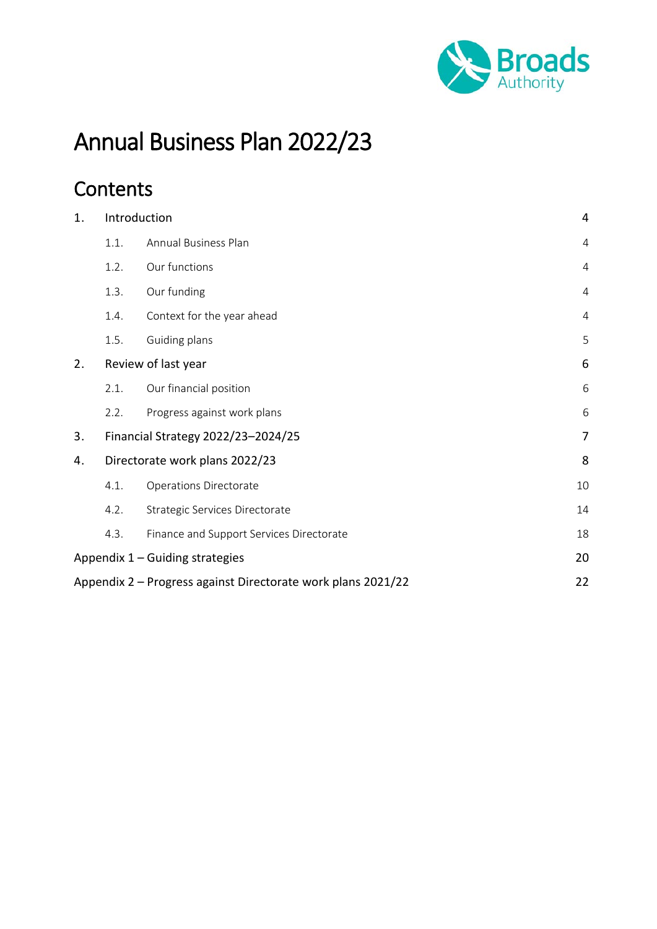

# Annual Business Plan 2022/23

# **Contents**

| 1. | Introduction<br>$\overline{4}$          |                                                              |                |
|----|-----------------------------------------|--------------------------------------------------------------|----------------|
|    | 1.1.                                    | Annual Business Plan                                         | 4              |
|    | 1.2.                                    | Our functions                                                | $\overline{4}$ |
|    | 1.3.                                    | Our funding                                                  | $\overline{4}$ |
|    | 1.4.                                    | Context for the year ahead                                   | $\overline{4}$ |
|    | 1.5.                                    | Guiding plans                                                | 5              |
| 2. |                                         | Review of last year                                          | 6              |
|    | 2.1.                                    | Our financial position                                       | 6              |
|    | 2.2.                                    | Progress against work plans                                  | 6              |
| 3. |                                         | Financial Strategy 2022/23-2024/25                           | 7              |
| 4. |                                         | Directorate work plans 2022/23                               | 8              |
|    | 4.1.                                    | <b>Operations Directorate</b>                                | 10             |
|    | 4.2.                                    | Strategic Services Directorate                               | 14             |
|    | 4.3.                                    | Finance and Support Services Directorate                     | 18             |
|    | Appendix $1 -$ Guiding strategies<br>20 |                                                              |                |
|    |                                         | Appendix 2 - Progress against Directorate work plans 2021/22 | 22             |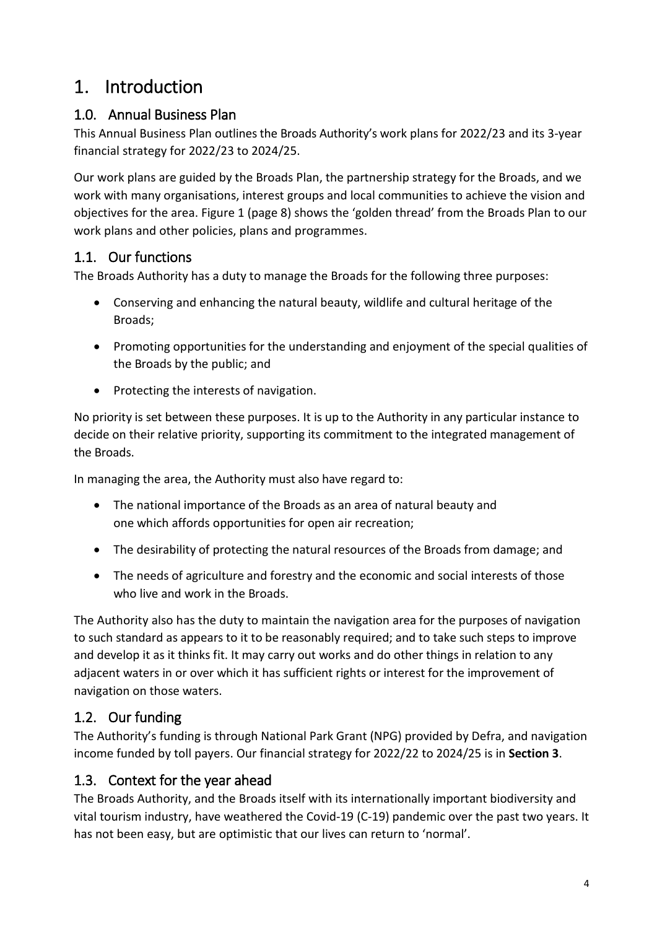# <span id="page-1-0"></span>1. Introduction

### <span id="page-1-1"></span>1.0. Annual Business Plan

This Annual Business Plan outlines the Broads Authority's work plans for 2022/23 and its 3-year financial strategy for 2022/23 to 2024/25.

Our work plans are guided by the Broads Plan, the partnership strategy for the Broads, and we work with many organisations, interest groups and local communities to achieve the vision and objectives for the area. Figure 1 (page 8) shows the 'golden thread' from the Broads Plan to our work plans and other policies, plans and programmes.

### <span id="page-1-2"></span>1.1. Our functions

The Broads Authority has a duty to manage the Broads for the following three purposes:

- Conserving and enhancing the natural beauty, wildlife and cultural heritage of the Broads;
- Promoting opportunities for the understanding and enjoyment of the special qualities of the Broads by the public; and
- Protecting the interests of navigation.

No priority is set between these purposes. It is up to the Authority in any particular instance to decide on their relative priority, supporting its commitment to the integrated management of the Broads.

In managing the area, the Authority must also have regard to:

- The national importance of the Broads as an area of natural beauty and one which affords opportunities for open air recreation;
- The desirability of protecting the natural resources of the Broads from damage; and
- The needs of agriculture and forestry and the economic and social interests of those who live and work in the Broads.

The Authority also has the duty to maintain the navigation area for the purposes of navigation to such standard as appears to it to be reasonably required; and to take such steps to improve and develop it as it thinks fit. It may carry out works and do other things in relation to any adjacent waters in or over which it has sufficient rights or interest for the improvement of navigation on those waters.

### <span id="page-1-3"></span>1.2. Our funding

The Authority's funding is through National Park Grant (NPG) provided by Defra, and navigation income funded by toll payers. Our financial strategy for 2022/22 to 2024/25 is in **Section 3**.

### <span id="page-1-4"></span>1.3. Context for the year ahead

The Broads Authority, and the Broads itself with its internationally important biodiversity and vital tourism industry, have weathered the Covid-19 (C-19) pandemic over the past two years. It has not been easy, but are optimistic that our lives can return to 'normal'.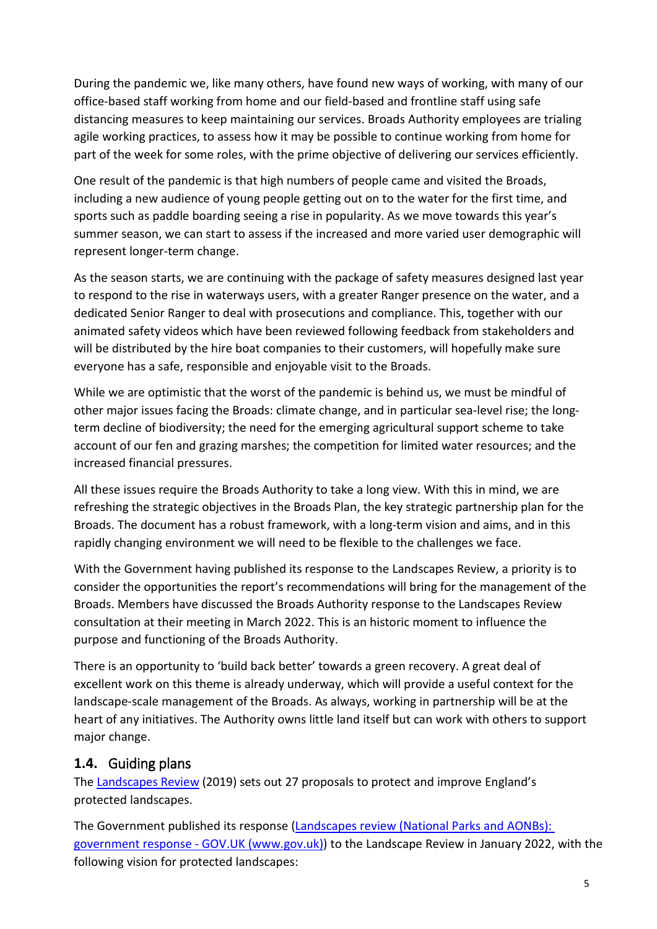During the pandemic we, like many others, have found new ways of working, with many of our office-based staff working from home and our field-based and frontline staff using safe distancing measures to keep maintaining our services. Broads Authority employees are trialing agile working practices, to assess how it may be possible to continue working from home for part of the week for some roles, with the prime objective of delivering our services efficiently.

One result of the pandemic is that high numbers of people came and visited the Broads, including a new audience of young people getting out on to the water for the first time, and sports such as paddle boarding seeing a rise in popularity. As we move towards this year's summer season, we can start to assess if the increased and more varied user demographic will represent longer-term change.

As the season starts, we are continuing with the package of safety measures designed last year to respond to the rise in waterways users, with a greater Ranger presence on the water, and a dedicated Senior Ranger to deal with prosecutions and compliance. This, together with our animated safety videos which have been reviewed following feedback from stakeholders and will be distributed by the hire boat companies to their customers, will hopefully make sure everyone has a safe, responsible and enjoyable visit to the Broads.

While we are optimistic that the worst of the pandemic is behind us, we must be mindful of other major issues facing the Broads: climate change, and in particular sea-level rise; the longterm decline of biodiversity; the need for the emerging agricultural support scheme to take account of our fen and grazing marshes; the competition for limited water resources; and the increased financial pressures.

All these issues require the Broads Authority to take a long view. With this in mind, we are refreshing the strategic objectives in the Broads Plan, the key strategic partnership plan for the Broads. The document has a robust framework, with a long-term vision and aims, and in this rapidly changing environment we will need to be flexible to the challenges we face.

With the Government having published its response to the Landscapes Review, a priority is to consider the opportunities the report's recommendations will bring for the management of the Broads. Members have discussed the Broads Authority response to the Landscapes Review consultation at their meeting in March 2022. This is an historic moment to influence the purpose and functioning of the Broads Authority.

There is an opportunity to 'build back better' towards a green recovery. A great deal of excellent work on this theme is already underway, which will provide a useful context for the landscape-scale management of the Broads. As always, working in partnership will be at the heart of any initiatives. The Authority owns little land itself but can work with others to support major change.

#### <span id="page-2-0"></span>**1.4.** Guiding plans

Th[e Landscapes Review](https://assets.publishing.service.gov.uk/government/uploads/system/uploads/attachment_data/file/833726/landscapes-review-final-report.pdf) (2019) sets out 27 proposals to protect and improve England's protected landscapes.

The Government published its response [\(Landscapes review \(National Parks and AONBs\):](https://www.gov.uk/government/publications/landscapes-review-national-parks-and-aonbs-government-response/landscapes-review-national-parks-and-aonbs-government-response)  [government response -](https://www.gov.uk/government/publications/landscapes-review-national-parks-and-aonbs-government-response/landscapes-review-national-parks-and-aonbs-government-response) GOV.UK (www.gov.uk)) to the Landscape Review in January 2022, with the following vision for protected landscapes: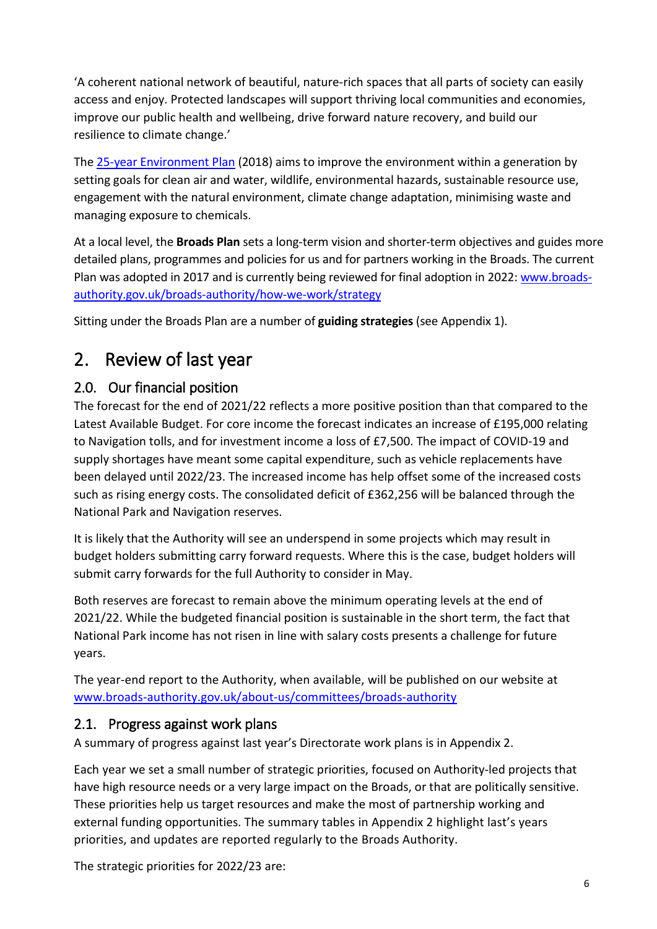'A coherent national network of beautiful, nature-rich spaces that all parts of society can easily access and enjoy. Protected landscapes will support thriving local communities and economies, improve our public health and wellbeing, drive forward nature recovery, and build our resilience to climate change.'

The [25-year Environment Plan](http://www.gov.uk/government/publications/25-year-environment-plan) (2018) aims to improve the environment within a generation by setting goals for clean air and water, wildlife, environmental hazards, sustainable resource use, engagement with the natural environment, climate change adaptation, minimising waste and managing exposure to chemicals.

At a local level, the **Broads Plan** sets a long-term vision and shorter-term objectives and guides more detailed plans, programmes and policies for us and for partners working in the Broads. The current Plan was adopted in 2017 and is currently being reviewed for final adoption in 2022: [www.broads](http://www.broads-authority.gov.uk/broads-authority/how-we-work/strategy)[authority.gov.uk/broads-authority/how-we-work/strategy](http://www.broads-authority.gov.uk/broads-authority/how-we-work/strategy)

Sitting under the Broads Plan are a number of **guiding strategies** (see Appendix 1).

# <span id="page-3-0"></span>2. Review of last year

#### <span id="page-3-1"></span>2.0. Our financial position

The forecast for the end of 2021/22 reflects a more positive position than that compared to the Latest Available Budget. For core income the forecast indicates an increase of £195,000 relating to Navigation tolls, and for investment income a loss of £7,500. The impact of COVID-19 and supply shortages have meant some capital expenditure, such as vehicle replacements have been delayed until 2022/23. The increased income has help offset some of the increased costs such as rising energy costs. The consolidated deficit of £362,256 will be balanced through the National Park and Navigation reserves.

It is likely that the Authority will see an underspend in some projects which may result in budget holders submitting carry forward requests. Where this is the case, budget holders will submit carry forwards for the full Authority to consider in May.

Both reserves are forecast to remain above the minimum operating levels at the end of 2021/22. While the budgeted financial position is sustainable in the short term, the fact that National Park income has not risen in line with salary costs presents a challenge for future years.

The year-end report to the Authority, when available, will be published on our website at [www.broads-authority.gov.uk/about-us/committees/broads-authority](http://www.broads-authority.gov.uk/about-us/committees/broads-authority)

#### <span id="page-3-2"></span>2.1. Progress against work plans

A summary of progress against last year's Directorate work plans is in Appendix 2.

Each year we set a small number of strategic priorities, focused on Authority-led projects that have high resource needs or a very large impact on the Broads, or that are politically sensitive. These priorities help us target resources and make the most of partnership working and external funding opportunities. The summary tables in Appendix 2 highlight last's years priorities, and updates are reported regularly to the Broads Authority.

The strategic priorities for 2022/23 are: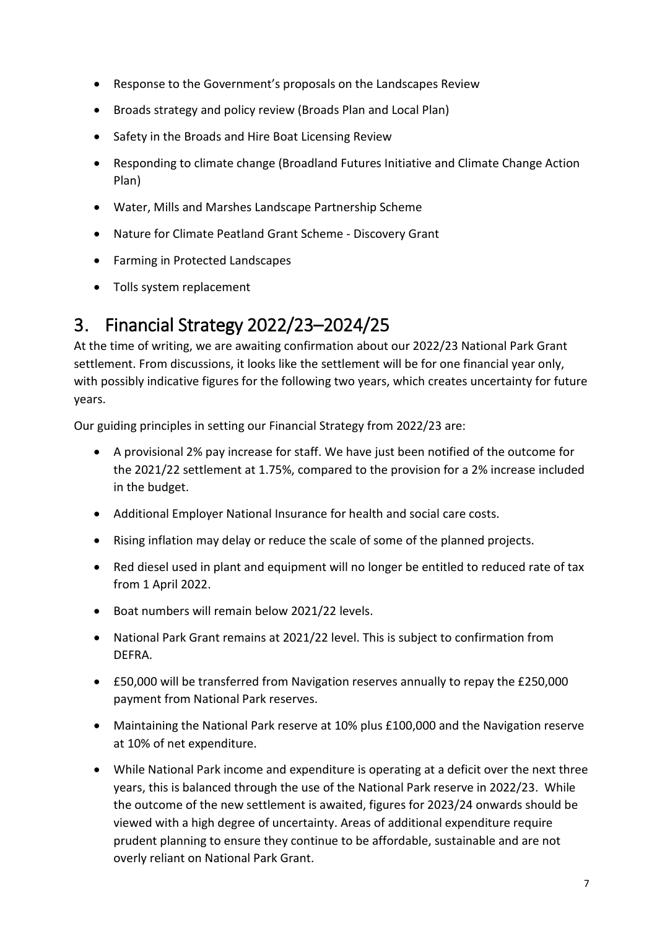- Response to the Government's proposals on the Landscapes Review
- Broads strategy and policy review (Broads Plan and Local Plan)
- Safety in the Broads and Hire Boat Licensing Review
- Responding to climate change (Broadland Futures Initiative and Climate Change Action Plan)
- Water, Mills and Marshes Landscape Partnership Scheme
- Nature for Climate Peatland Grant Scheme Discovery Grant
- Farming in Protected Landscapes
- Tolls system replacement

# <span id="page-4-0"></span>3. Financial Strategy 2022/23–2024/25

At the time of writing, we are awaiting confirmation about our 2022/23 National Park Grant settlement. From discussions, it looks like the settlement will be for one financial year only, with possibly indicative figures for the following two years, which creates uncertainty for future years.

Our guiding principles in setting our Financial Strategy from 2022/23 are:

- A provisional 2% pay increase for staff. We have just been notified of the outcome for the 2021/22 settlement at 1.75%, compared to the provision for a 2% increase included in the budget.
- Additional Employer National Insurance for health and social care costs.
- Rising inflation may delay or reduce the scale of some of the planned projects.
- Red diesel used in plant and equipment will no longer be entitled to reduced rate of tax from 1 April 2022.
- Boat numbers will remain below 2021/22 levels.
- National Park Grant remains at 2021/22 level. This is subject to confirmation from DEFRA.
- £50,000 will be transferred from Navigation reserves annually to repay the £250,000 payment from National Park reserves.
- Maintaining the National Park reserve at 10% plus £100,000 and the Navigation reserve at 10% of net expenditure.
- While National Park income and expenditure is operating at a deficit over the next three years, this is balanced through the use of the National Park reserve in 2022/23. While the outcome of the new settlement is awaited, figures for 2023/24 onwards should be viewed with a high degree of uncertainty. Areas of additional expenditure require prudent planning to ensure they continue to be affordable, sustainable and are not overly reliant on National Park Grant.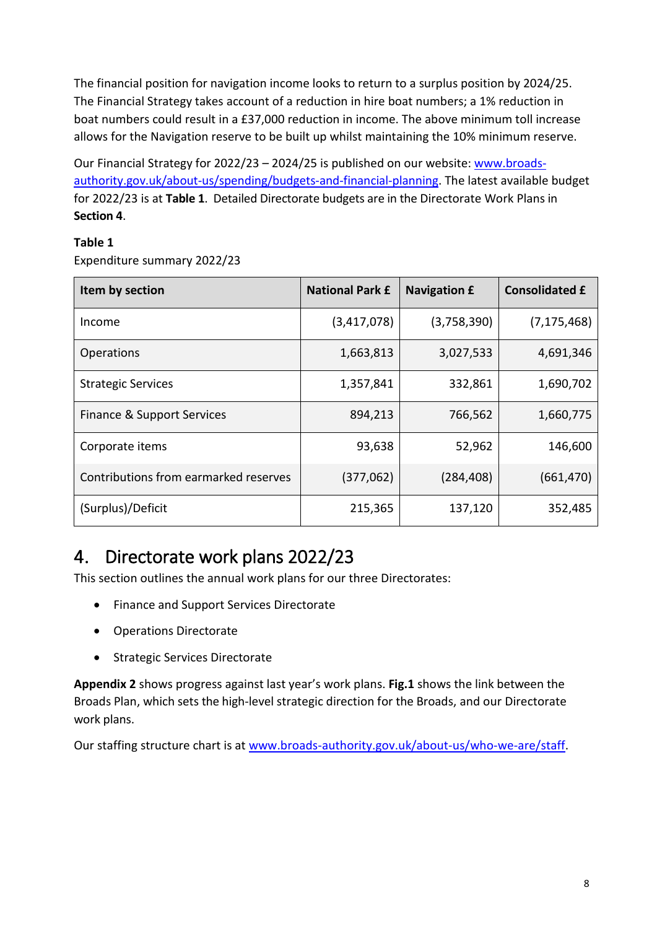The financial position for navigation income looks to return to a surplus position by 2024/25. The Financial Strategy takes account of a reduction in hire boat numbers; a 1% reduction in boat numbers could result in a £37,000 reduction in income. The above minimum toll increase allows for the Navigation reserve to be built up whilst maintaining the 10% minimum reserve.

Our Financial Strategy for 2022/23 – 2024/25 is published on our website: [www.broads](http://www.broads-authority.gov.uk/about-us/spending/budgets-and-financial-planning)[authority.gov.uk/about-us/spending/budgets-and-financial-planning.](http://www.broads-authority.gov.uk/about-us/spending/budgets-and-financial-planning) The latest available budget for 2022/23 is at **Table 1**. Detailed Directorate budgets are in the Directorate Work Plans in **Section 4**.

#### **Table 1**

Expenditure summary 2022/23

| Item by section                       | <b>National Park £</b> | <b>Navigation £</b> | <b>Consolidated £</b> |
|---------------------------------------|------------------------|---------------------|-----------------------|
| Income                                | (3,417,078)            | (3,758,390)         | (7, 175, 468)         |
| <b>Operations</b>                     | 1,663,813              | 3,027,533           | 4,691,346             |
| <b>Strategic Services</b>             | 1,357,841              | 332,861             | 1,690,702             |
| Finance & Support Services            | 894,213                | 766,562             | 1,660,775             |
| Corporate items                       | 93,638                 | 52,962              | 146,600               |
| Contributions from earmarked reserves | (377,062)              | (284, 408)          | (661, 470)            |
| (Surplus)/Deficit                     | 215,365                | 137,120             | 352,485               |

# <span id="page-5-0"></span>4. Directorate work plans 2022/23

This section outlines the annual work plans for our three Directorates:

- Finance and Support Services Directorate
- Operations Directorate
- Strategic Services Directorate

**Appendix 2** shows progress against last year's work plans. **Fig.1** shows the link between the Broads Plan, which sets the high-level strategic direction for the Broads, and our Directorate work plans.

Our staffing structure chart is at [www.broads-authority.gov.uk/about-us/who-we-are/staff.](http://www.broads-authority.gov.uk/about-us/who-we-are/staff)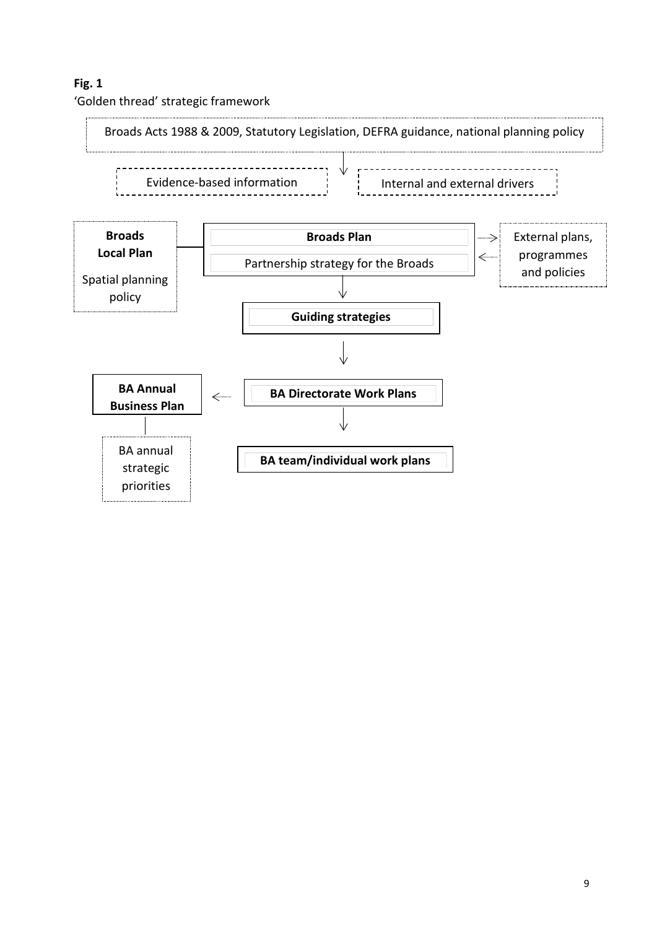#### **Fig. 1**

'Golden thread' strategic framework

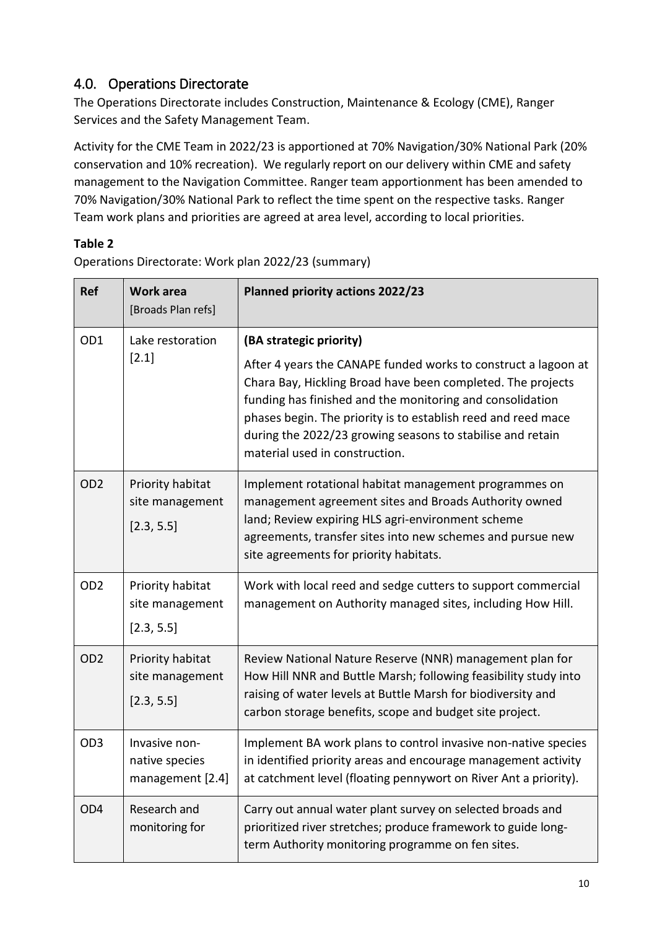### <span id="page-7-0"></span>4.0. Operations Directorate

The Operations Directorate includes Construction, Maintenance & Ecology (CME), Ranger Services and the Safety Management Team.

Activity for the CME Team in 2022/23 is apportioned at 70% Navigation/30% National Park (20% conservation and 10% recreation). We regularly report on our delivery within CME and safety management to the Navigation Committee. Ranger team apportionment has been amended to 70% Navigation/30% National Park to reflect the time spent on the respective tasks. Ranger Team work plans and priorities are agreed at area level, according to local priorities.

#### **Table 2**

Operations Directorate: Work plan 2022/23 (summary)

| <b>Ref</b>      | <b>Work area</b><br>[Broads Plan refs]              | <b>Planned priority actions 2022/23</b>                                                                                                                                                                                                                                                                                                                     |
|-----------------|-----------------------------------------------------|-------------------------------------------------------------------------------------------------------------------------------------------------------------------------------------------------------------------------------------------------------------------------------------------------------------------------------------------------------------|
| OD1             | Lake restoration<br>$[2.1]$                         | (BA strategic priority)                                                                                                                                                                                                                                                                                                                                     |
|                 |                                                     | After 4 years the CANAPE funded works to construct a lagoon at<br>Chara Bay, Hickling Broad have been completed. The projects<br>funding has finished and the monitoring and consolidation<br>phases begin. The priority is to establish reed and reed mace<br>during the 2022/23 growing seasons to stabilise and retain<br>material used in construction. |
| OD <sub>2</sub> | Priority habitat<br>site management<br>[2.3, 5.5]   | Implement rotational habitat management programmes on<br>management agreement sites and Broads Authority owned<br>land; Review expiring HLS agri-environment scheme<br>agreements, transfer sites into new schemes and pursue new<br>site agreements for priority habitats.                                                                                 |
| OD <sub>2</sub> | Priority habitat<br>site management<br>[2.3, 5.5]   | Work with local reed and sedge cutters to support commercial<br>management on Authority managed sites, including How Hill.                                                                                                                                                                                                                                  |
| OD <sub>2</sub> | Priority habitat<br>site management<br>[2.3, 5.5]   | Review National Nature Reserve (NNR) management plan for<br>How Hill NNR and Buttle Marsh; following feasibility study into<br>raising of water levels at Buttle Marsh for biodiversity and<br>carbon storage benefits, scope and budget site project.                                                                                                      |
| OD <sub>3</sub> | Invasive non-<br>native species<br>management [2.4] | Implement BA work plans to control invasive non-native species<br>in identified priority areas and encourage management activity<br>at catchment level (floating pennywort on River Ant a priority).                                                                                                                                                        |
| OD <sub>4</sub> | Research and<br>monitoring for                      | Carry out annual water plant survey on selected broads and<br>prioritized river stretches; produce framework to guide long-<br>term Authority monitoring programme on fen sites.                                                                                                                                                                            |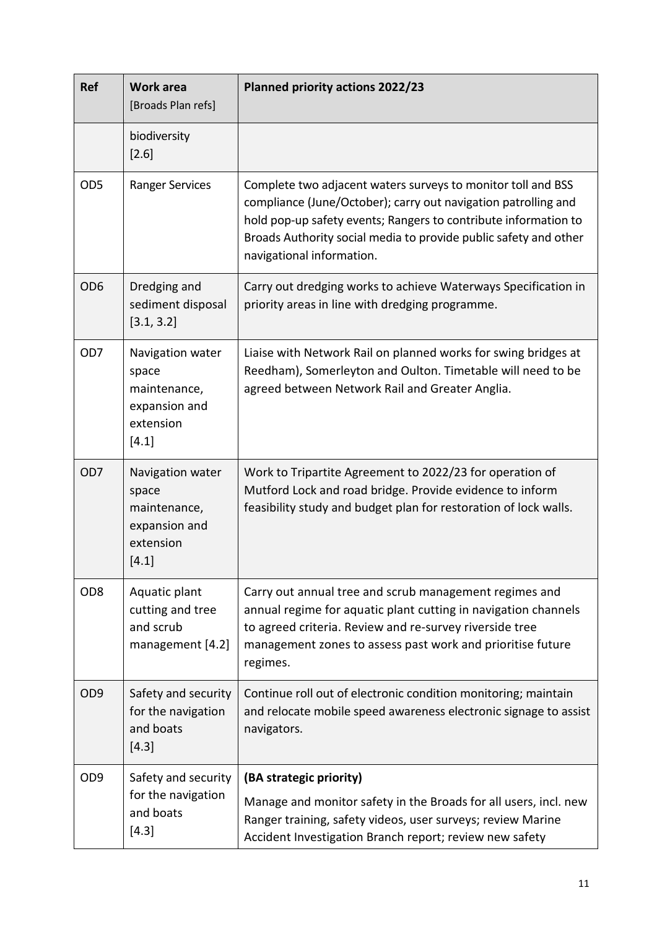| <b>Ref</b>      | <b>Work area</b><br>[Broads Plan refs]                                           | <b>Planned priority actions 2022/23</b>                                                                                                                                                                                                                                                            |  |
|-----------------|----------------------------------------------------------------------------------|----------------------------------------------------------------------------------------------------------------------------------------------------------------------------------------------------------------------------------------------------------------------------------------------------|--|
|                 | biodiversity<br>$[2.6]$                                                          |                                                                                                                                                                                                                                                                                                    |  |
| OD <sub>5</sub> | <b>Ranger Services</b>                                                           | Complete two adjacent waters surveys to monitor toll and BSS<br>compliance (June/October); carry out navigation patrolling and<br>hold pop-up safety events; Rangers to contribute information to<br>Broads Authority social media to provide public safety and other<br>navigational information. |  |
| OD <sub>6</sub> | Dredging and<br>sediment disposal<br>[3.1, 3.2]                                  | Carry out dredging works to achieve Waterways Specification in<br>priority areas in line with dredging programme.                                                                                                                                                                                  |  |
| OD <sub>7</sub> | Navigation water<br>space<br>maintenance,<br>expansion and<br>extension<br>[4.1] | Liaise with Network Rail on planned works for swing bridges at<br>Reedham), Somerleyton and Oulton. Timetable will need to be<br>agreed between Network Rail and Greater Anglia.                                                                                                                   |  |
| OD <sub>7</sub> | Navigation water<br>space<br>maintenance,<br>expansion and<br>extension<br>[4.1] | Work to Tripartite Agreement to 2022/23 for operation of<br>Mutford Lock and road bridge. Provide evidence to inform<br>feasibility study and budget plan for restoration of lock walls.                                                                                                           |  |
| OD <sub>8</sub> | Aquatic plant<br>cutting and tree<br>and scrub<br>management [4.2]               | Carry out annual tree and scrub management regimes and<br>annual regime for aquatic plant cutting in navigation channels<br>to agreed criteria. Review and re-survey riverside tree<br>management zones to assess past work and prioritise future<br>regimes.                                      |  |
| OD <sub>9</sub> | Safety and security<br>for the navigation<br>and boats<br>$[4.3]$                | Continue roll out of electronic condition monitoring; maintain<br>and relocate mobile speed awareness electronic signage to assist<br>navigators.                                                                                                                                                  |  |
| OD <sub>9</sub> | Safety and security<br>for the navigation<br>and boats<br>$[4.3]$                | (BA strategic priority)<br>Manage and monitor safety in the Broads for all users, incl. new<br>Ranger training, safety videos, user surveys; review Marine<br>Accident Investigation Branch report; review new safety                                                                              |  |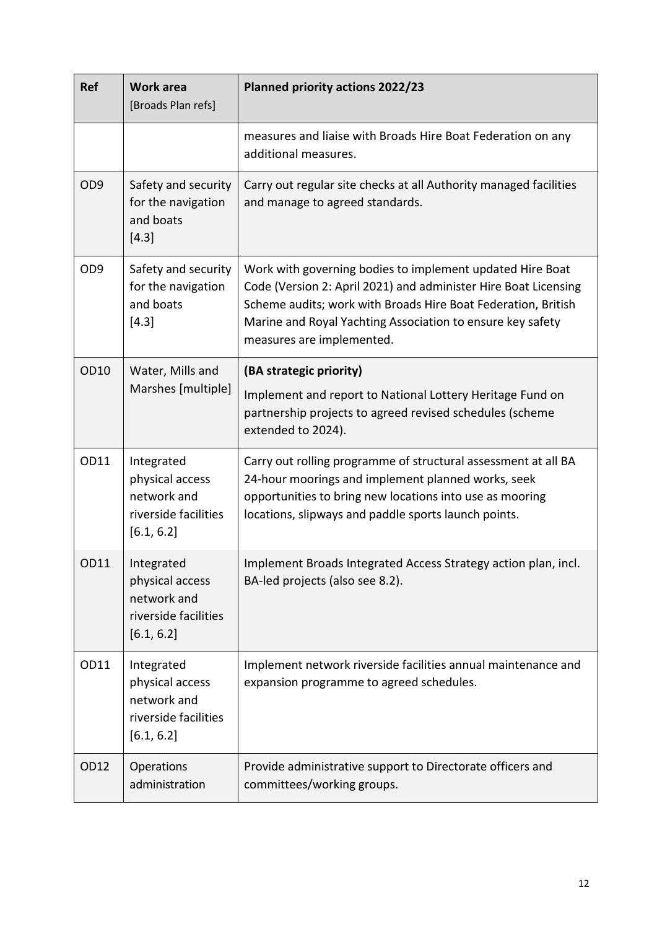| Ref             | <b>Work area</b><br>[Broads Plan refs]                                             | Planned priority actions 2022/23                                                                                                                                                                                                                                                         |
|-----------------|------------------------------------------------------------------------------------|------------------------------------------------------------------------------------------------------------------------------------------------------------------------------------------------------------------------------------------------------------------------------------------|
|                 |                                                                                    | measures and liaise with Broads Hire Boat Federation on any<br>additional measures.                                                                                                                                                                                                      |
| OD <sub>9</sub> | Safety and security<br>for the navigation<br>and boats<br>$[4.3]$                  | Carry out regular site checks at all Authority managed facilities<br>and manage to agreed standards.                                                                                                                                                                                     |
| OD <sub>9</sub> | Safety and security<br>for the navigation<br>and boats<br>$[4.3]$                  | Work with governing bodies to implement updated Hire Boat<br>Code (Version 2: April 2021) and administer Hire Boat Licensing<br>Scheme audits; work with Broads Hire Boat Federation, British<br>Marine and Royal Yachting Association to ensure key safety<br>measures are implemented. |
| OD10            | Water, Mills and<br>Marshes [multiple]                                             | (BA strategic priority)<br>Implement and report to National Lottery Heritage Fund on<br>partnership projects to agreed revised schedules (scheme<br>extended to 2024).                                                                                                                   |
| OD11            | Integrated<br>physical access<br>network and<br>riverside facilities<br>[6.1, 6.2] | Carry out rolling programme of structural assessment at all BA<br>24-hour moorings and implement planned works, seek<br>opportunities to bring new locations into use as mooring<br>locations, slipways and paddle sports launch points.                                                 |
| OD11            | Integrated<br>physical access<br>network and<br>riverside facilities<br>[6.1, 6.2] | Implement Broads Integrated Access Strategy action plan, incl.<br>BA-led projects (also see 8.2).                                                                                                                                                                                        |
| OD11            | Integrated<br>physical access<br>network and<br>riverside facilities<br>[6.1, 6.2] | Implement network riverside facilities annual maintenance and<br>expansion programme to agreed schedules.                                                                                                                                                                                |
| OD12            | Operations<br>administration                                                       | Provide administrative support to Directorate officers and<br>committees/working groups.                                                                                                                                                                                                 |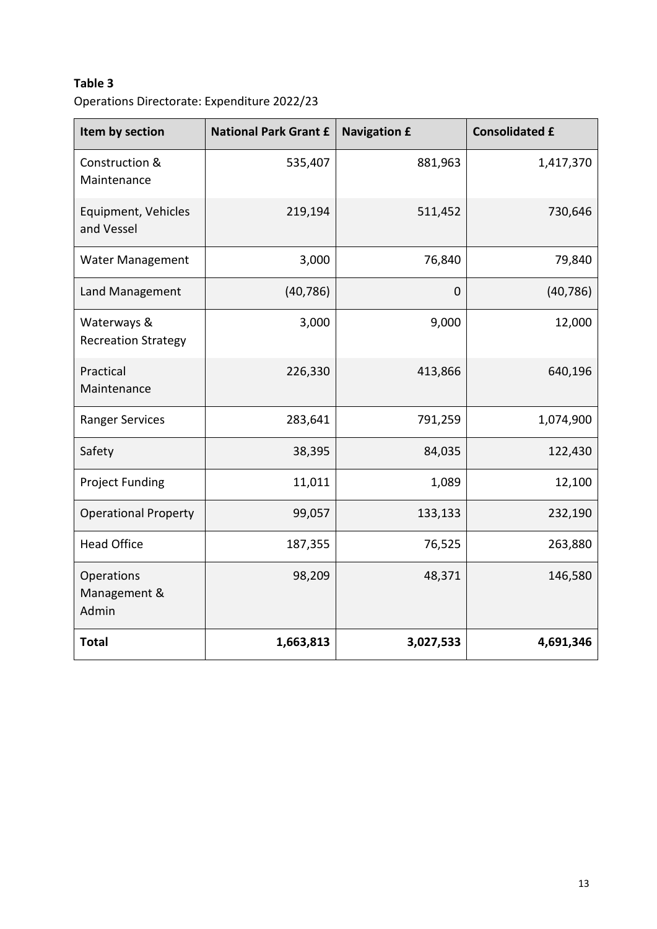Operations Directorate: Expenditure 2022/23

| Item by section                           | <b>National Park Grant £</b> | <b>Navigation £</b> | <b>Consolidated £</b> |
|-------------------------------------------|------------------------------|---------------------|-----------------------|
| Construction &<br>Maintenance             | 535,407                      | 881,963             | 1,417,370             |
| Equipment, Vehicles<br>and Vessel         | 219,194                      | 511,452             | 730,646               |
| <b>Water Management</b>                   | 3,000                        | 76,840              | 79,840                |
| Land Management                           | (40, 786)                    | $\mathbf 0$         | (40, 786)             |
| Waterways &<br><b>Recreation Strategy</b> | 3,000                        | 9,000               | 12,000                |
| Practical<br>Maintenance                  | 226,330                      | 413,866             | 640,196               |
| <b>Ranger Services</b>                    | 283,641                      | 791,259             | 1,074,900             |
| Safety                                    | 38,395                       | 84,035              | 122,430               |
| <b>Project Funding</b>                    | 11,011                       | 1,089               | 12,100                |
| <b>Operational Property</b>               | 99,057                       | 133,133             | 232,190               |
| <b>Head Office</b>                        | 187,355                      | 76,525              | 263,880               |
| Operations<br>Management &<br>Admin       | 98,209                       | 48,371              | 146,580               |
| <b>Total</b>                              | 1,663,813                    | 3,027,533           | 4,691,346             |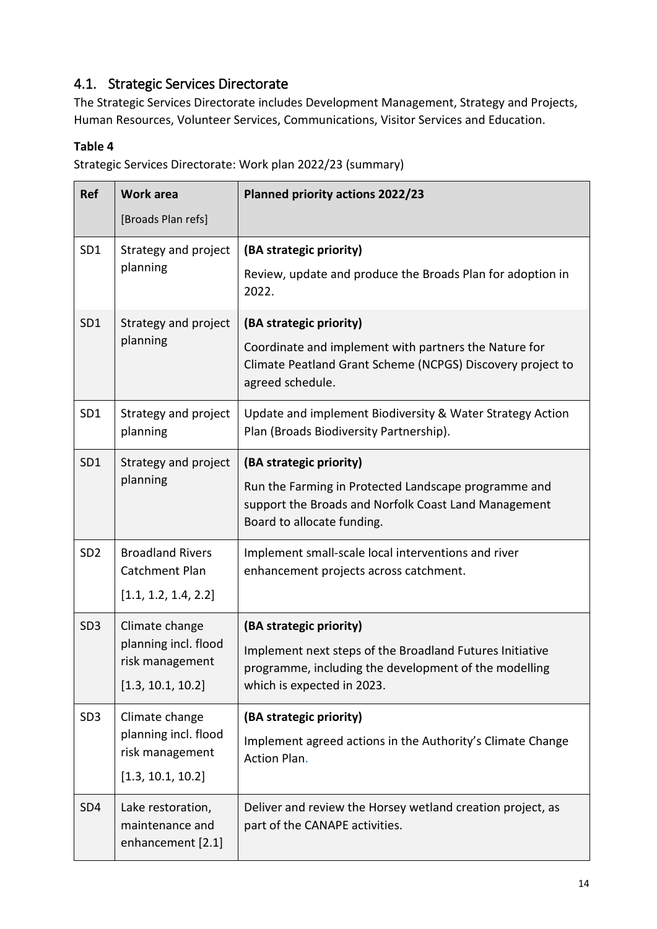### <span id="page-11-0"></span>4.1. Strategic Services Directorate

The Strategic Services Directorate includes Development Management, Strategy and Projects, Human Resources, Volunteer Services, Communications, Visitor Services and Education.

#### **Table 4**

Strategic Services Directorate: Work plan 2022/23 (summary)

| <b>Ref</b>      | <b>Work area</b>                                          | <b>Planned priority actions 2022/23</b>                                                                                                    |
|-----------------|-----------------------------------------------------------|--------------------------------------------------------------------------------------------------------------------------------------------|
|                 | [Broads Plan refs]                                        |                                                                                                                                            |
| SD1             | Strategy and project<br>planning                          | (BA strategic priority)<br>Review, update and produce the Broads Plan for adoption in                                                      |
|                 |                                                           | 2022.                                                                                                                                      |
| SD <sub>1</sub> | Strategy and project<br>planning                          | (BA strategic priority)                                                                                                                    |
|                 |                                                           | Coordinate and implement with partners the Nature for<br>Climate Peatland Grant Scheme (NCPGS) Discovery project to<br>agreed schedule.    |
| SD <sub>1</sub> | Strategy and project<br>planning                          | Update and implement Biodiversity & Water Strategy Action<br>Plan (Broads Biodiversity Partnership).                                       |
| SD <sub>1</sub> | Strategy and project<br>planning                          | (BA strategic priority)                                                                                                                    |
|                 |                                                           | Run the Farming in Protected Landscape programme and<br>support the Broads and Norfolk Coast Land Management<br>Board to allocate funding. |
| SD <sub>2</sub> | <b>Broadland Rivers</b><br>Catchment Plan                 | Implement small-scale local interventions and river<br>enhancement projects across catchment.                                              |
|                 | [1.1, 1.2, 1.4, 2.2]                                      |                                                                                                                                            |
| SD <sub>3</sub> | Climate change                                            | (BA strategic priority)                                                                                                                    |
|                 | planning incl. flood<br>risk management                   | Implement next steps of the Broadland Futures Initiative<br>programme, including the development of the modelling                          |
|                 | [1.3, 10.1, 10.2]                                         | which is expected in 2023.                                                                                                                 |
| SD <sub>3</sub> | Climate change                                            | (BA strategic priority)                                                                                                                    |
|                 | planning incl. flood<br>risk management                   | Implement agreed actions in the Authority's Climate Change<br>Action Plan.                                                                 |
|                 | [1.3, 10.1, 10.2]                                         |                                                                                                                                            |
| SD <sub>4</sub> | Lake restoration,<br>maintenance and<br>enhancement [2.1] | Deliver and review the Horsey wetland creation project, as<br>part of the CANAPE activities.                                               |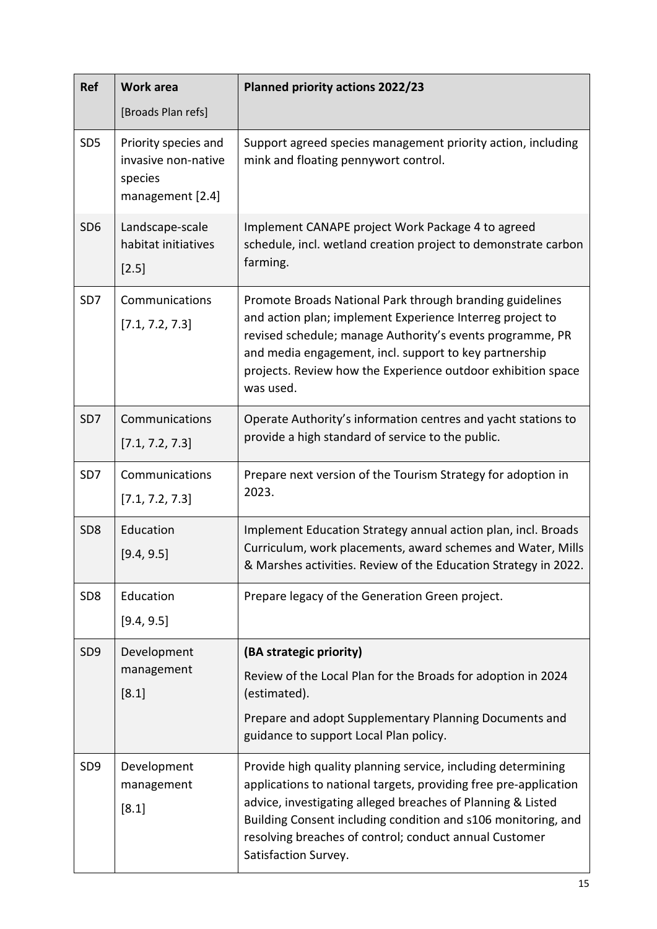| Ref             | <b>Work area</b>                                                           | <b>Planned priority actions 2022/23</b>                                                                                                                                                                                                                                                                                                            |
|-----------------|----------------------------------------------------------------------------|----------------------------------------------------------------------------------------------------------------------------------------------------------------------------------------------------------------------------------------------------------------------------------------------------------------------------------------------------|
|                 | [Broads Plan refs]                                                         |                                                                                                                                                                                                                                                                                                                                                    |
| SD <sub>5</sub> | Priority species and<br>invasive non-native<br>species<br>management [2.4] | Support agreed species management priority action, including<br>mink and floating pennywort control.                                                                                                                                                                                                                                               |
| SD <sub>6</sub> | Landscape-scale<br>habitat initiatives<br>$[2.5]$                          | Implement CANAPE project Work Package 4 to agreed<br>schedule, incl. wetland creation project to demonstrate carbon<br>farming.                                                                                                                                                                                                                    |
| SD7             | Communications<br>[7.1, 7.2, 7.3]                                          | Promote Broads National Park through branding guidelines<br>and action plan; implement Experience Interreg project to<br>revised schedule; manage Authority's events programme, PR<br>and media engagement, incl. support to key partnership<br>projects. Review how the Experience outdoor exhibition space<br>was used.                          |
| SD <sub>7</sub> | Communications<br>[7.1, 7.2, 7.3]                                          | Operate Authority's information centres and yacht stations to<br>provide a high standard of service to the public.                                                                                                                                                                                                                                 |
| SD7             | Communications<br>[7.1, 7.2, 7.3]                                          | Prepare next version of the Tourism Strategy for adoption in<br>2023.                                                                                                                                                                                                                                                                              |
| SD <sub>8</sub> | Education<br>[9.4, 9.5]                                                    | Implement Education Strategy annual action plan, incl. Broads<br>Curriculum, work placements, award schemes and Water, Mills<br>& Marshes activities. Review of the Education Strategy in 2022.                                                                                                                                                    |
| SD <sub>8</sub> | Education<br>[9.4, 9.5]                                                    | Prepare legacy of the Generation Green project.                                                                                                                                                                                                                                                                                                    |
| SD <sub>9</sub> | Development                                                                | (BA strategic priority)                                                                                                                                                                                                                                                                                                                            |
|                 | management<br>$[8.1]$                                                      | Review of the Local Plan for the Broads for adoption in 2024<br>(estimated).                                                                                                                                                                                                                                                                       |
|                 |                                                                            | Prepare and adopt Supplementary Planning Documents and<br>guidance to support Local Plan policy.                                                                                                                                                                                                                                                   |
| SD <sub>9</sub> | Development<br>management<br>[8.1]                                         | Provide high quality planning service, including determining<br>applications to national targets, providing free pre-application<br>advice, investigating alleged breaches of Planning & Listed<br>Building Consent including condition and s106 monitoring, and<br>resolving breaches of control; conduct annual Customer<br>Satisfaction Survey. |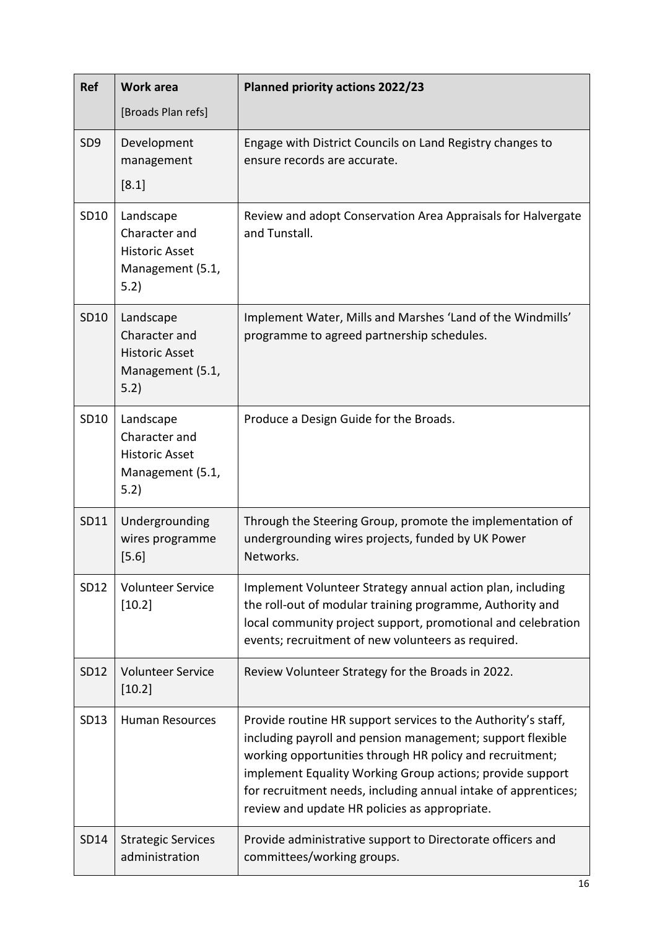| <b>Ref</b>      | <b>Work area</b>                                                                | <b>Planned priority actions 2022/23</b>                                                                                                                                                                                                                                                                                                                                 |
|-----------------|---------------------------------------------------------------------------------|-------------------------------------------------------------------------------------------------------------------------------------------------------------------------------------------------------------------------------------------------------------------------------------------------------------------------------------------------------------------------|
|                 | [Broads Plan refs]                                                              |                                                                                                                                                                                                                                                                                                                                                                         |
| SD <sub>9</sub> | Development<br>management<br>[8.1]                                              | Engage with District Councils on Land Registry changes to<br>ensure records are accurate.                                                                                                                                                                                                                                                                               |
| SD10            | Landscape<br>Character and<br><b>Historic Asset</b><br>Management (5.1,<br>5.2) | Review and adopt Conservation Area Appraisals for Halvergate<br>and Tunstall.                                                                                                                                                                                                                                                                                           |
| SD10            | Landscape<br>Character and<br><b>Historic Asset</b><br>Management (5.1,<br>5.2) | Implement Water, Mills and Marshes 'Land of the Windmills'<br>programme to agreed partnership schedules.                                                                                                                                                                                                                                                                |
| SD10            | Landscape<br>Character and<br><b>Historic Asset</b><br>Management (5.1,<br>5.2) | Produce a Design Guide for the Broads.                                                                                                                                                                                                                                                                                                                                  |
| SD11            | Undergrounding<br>wires programme<br>$[5.6]$                                    | Through the Steering Group, promote the implementation of<br>undergrounding wires projects, funded by UK Power<br>Networks.                                                                                                                                                                                                                                             |
| SD12            | <b>Volunteer Service</b><br>[10.2]                                              | Implement Volunteer Strategy annual action plan, including<br>the roll-out of modular training programme, Authority and<br>local community project support, promotional and celebration<br>events; recruitment of new volunteers as required.                                                                                                                           |
| SD12            | <b>Volunteer Service</b><br>[10.2]                                              | Review Volunteer Strategy for the Broads in 2022.                                                                                                                                                                                                                                                                                                                       |
| SD13            | <b>Human Resources</b>                                                          | Provide routine HR support services to the Authority's staff,<br>including payroll and pension management; support flexible<br>working opportunities through HR policy and recruitment;<br>implement Equality Working Group actions; provide support<br>for recruitment needs, including annual intake of apprentices;<br>review and update HR policies as appropriate. |
| <b>SD14</b>     | <b>Strategic Services</b><br>administration                                     | Provide administrative support to Directorate officers and<br>committees/working groups.                                                                                                                                                                                                                                                                                |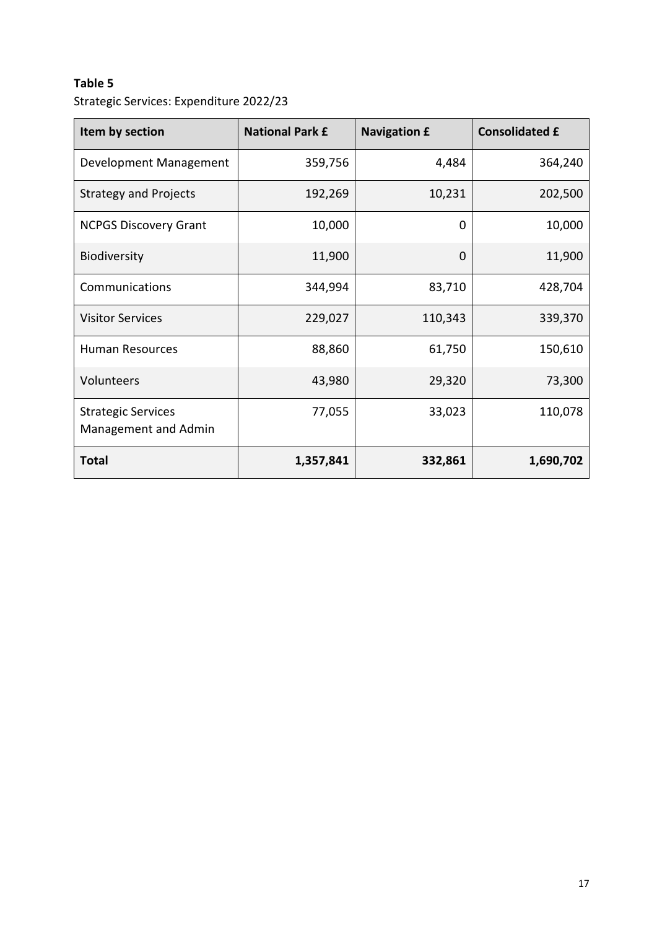Strategic Services: Expenditure 2022/23

| Item by section                                   | <b>National Park £</b> | <b>Navigation £</b> | <b>Consolidated £</b> |
|---------------------------------------------------|------------------------|---------------------|-----------------------|
| Development Management                            | 359,756                | 4,484               | 364,240               |
| <b>Strategy and Projects</b>                      | 192,269                | 10,231              | 202,500               |
| <b>NCPGS Discovery Grant</b>                      | 10,000                 | 0                   | 10,000                |
| Biodiversity                                      | 11,900                 | 0                   | 11,900                |
| Communications                                    | 344,994                | 83,710              | 428,704               |
| <b>Visitor Services</b>                           | 229,027                | 110,343             | 339,370               |
| <b>Human Resources</b>                            | 88,860                 | 61,750              | 150,610               |
| Volunteers                                        | 43,980                 | 29,320              | 73,300                |
| <b>Strategic Services</b><br>Management and Admin | 77,055                 | 33,023              | 110,078               |
| <b>Total</b>                                      | 1,357,841              | 332,861             | 1,690,702             |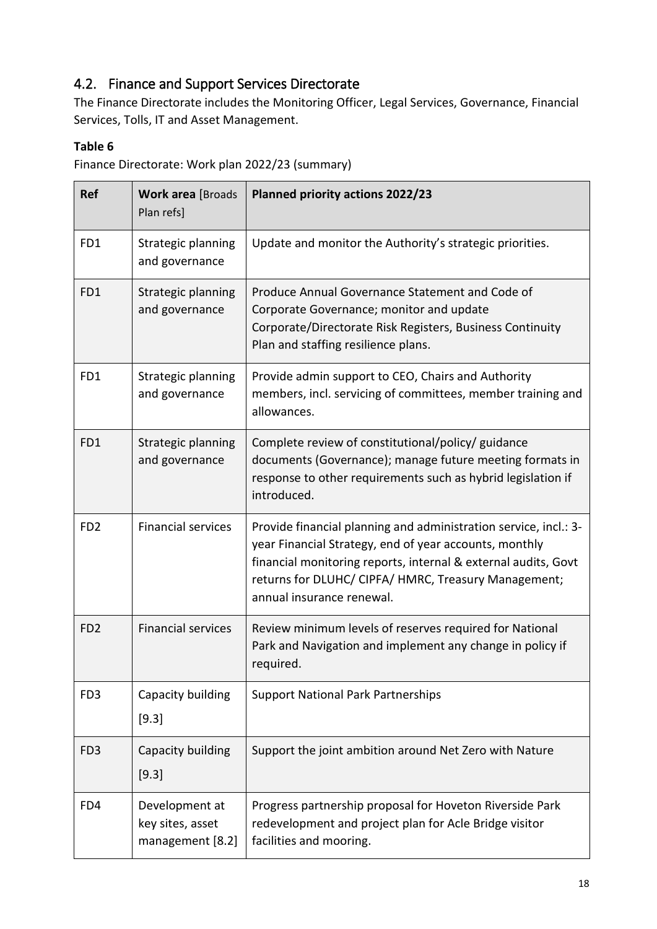### <span id="page-15-0"></span>4.2. Finance and Support Services Directorate

The Finance Directorate includes the Monitoring Officer, Legal Services, Governance, Financial Services, Tolls, IT and Asset Management.

#### **Table 6**

Finance Directorate: Work plan 2022/23 (summary)

| <b>Ref</b>      | <b>Work area [Broads</b><br>Plan refs]                 | Planned priority actions 2022/23                                                                                                                                                                                                                                                  |
|-----------------|--------------------------------------------------------|-----------------------------------------------------------------------------------------------------------------------------------------------------------------------------------------------------------------------------------------------------------------------------------|
| FD1             | Strategic planning<br>and governance                   | Update and monitor the Authority's strategic priorities.                                                                                                                                                                                                                          |
| FD1             | Strategic planning<br>and governance                   | Produce Annual Governance Statement and Code of<br>Corporate Governance; monitor and update<br>Corporate/Directorate Risk Registers, Business Continuity<br>Plan and staffing resilience plans.                                                                                   |
| FD1             | Strategic planning<br>and governance                   | Provide admin support to CEO, Chairs and Authority<br>members, incl. servicing of committees, member training and<br>allowances.                                                                                                                                                  |
| FD1             | Strategic planning<br>and governance                   | Complete review of constitutional/policy/ guidance<br>documents (Governance); manage future meeting formats in<br>response to other requirements such as hybrid legislation if<br>introduced.                                                                                     |
| FD <sub>2</sub> | <b>Financial services</b>                              | Provide financial planning and administration service, incl.: 3-<br>year Financial Strategy, end of year accounts, monthly<br>financial monitoring reports, internal & external audits, Govt<br>returns for DLUHC/ CIPFA/ HMRC, Treasury Management;<br>annual insurance renewal. |
| FD <sub>2</sub> | <b>Financial services</b>                              | Review minimum levels of reserves required for National<br>Park and Navigation and implement any change in policy if<br>required.                                                                                                                                                 |
| FD <sub>3</sub> | Capacity building<br>$[9.3]$                           | <b>Support National Park Partnerships</b>                                                                                                                                                                                                                                         |
| FD <sub>3</sub> | Capacity building<br>[9.3]                             | Support the joint ambition around Net Zero with Nature                                                                                                                                                                                                                            |
| FD4             | Development at<br>key sites, asset<br>management [8.2] | Progress partnership proposal for Hoveton Riverside Park<br>redevelopment and project plan for Acle Bridge visitor<br>facilities and mooring.                                                                                                                                     |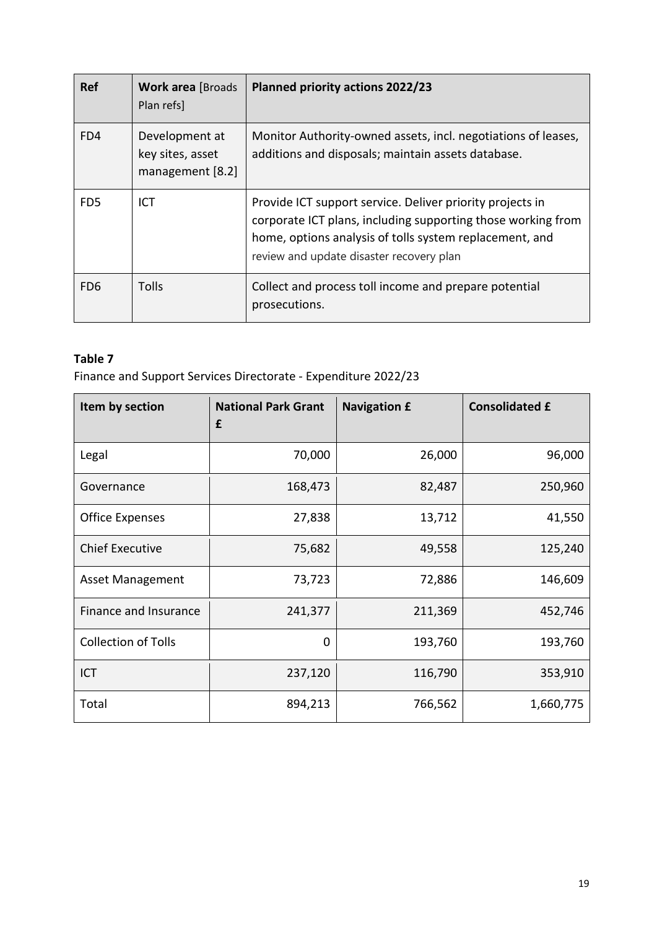| <b>Ref</b>                  | <b>Work area [Broads</b><br>Plan refs]                 | <b>Planned priority actions 2022/23</b>                                                                                                                                                                                          |
|-----------------------------|--------------------------------------------------------|----------------------------------------------------------------------------------------------------------------------------------------------------------------------------------------------------------------------------------|
| FD4                         | Development at<br>key sites, asset<br>management [8.2] | Monitor Authority-owned assets, incl. negotiations of leases,<br>additions and disposals; maintain assets database.                                                                                                              |
| F <sub>D</sub> <sub>5</sub> | <b>ICT</b>                                             | Provide ICT support service. Deliver priority projects in<br>corporate ICT plans, including supporting those working from<br>home, options analysis of tolls system replacement, and<br>review and update disaster recovery plan |
| FD <sub>6</sub>             | <b>Tolls</b>                                           | Collect and process toll income and prepare potential<br>prosecutions.                                                                                                                                                           |

Finance and Support Services Directorate - Expenditure 2022/23

| Item by section            | <b>National Park Grant</b><br>£ | <b>Navigation £</b> | <b>Consolidated £</b> |
|----------------------------|---------------------------------|---------------------|-----------------------|
| Legal                      | 70,000                          | 26,000              | 96,000                |
| Governance                 | 168,473                         | 82,487              | 250,960               |
| <b>Office Expenses</b>     | 27,838                          | 13,712              | 41,550                |
| <b>Chief Executive</b>     | 75,682                          | 49,558              | 125,240               |
| <b>Asset Management</b>    | 73,723                          | 72,886              | 146,609               |
| Finance and Insurance      | 241,377                         | 211,369             | 452,746               |
| <b>Collection of Tolls</b> | 0                               | 193,760             | 193,760               |
| <b>ICT</b>                 | 237,120                         | 116,790             | 353,910               |
| Total                      | 894,213                         | 766,562             | 1,660,775             |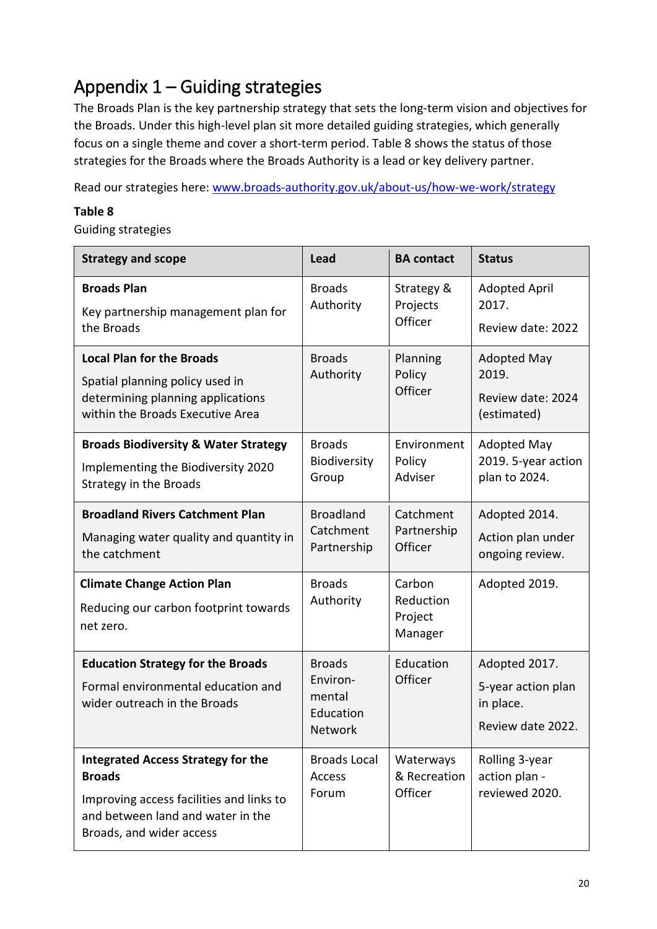# <span id="page-17-0"></span>Appendix 1 – Guiding strategies

The Broads Plan is the key partnership strategy that sets the long-term vision and objectives for the Broads. Under this high-level plan sit more detailed guiding strategies, which generally focus on a single theme and cover a short-term period. Table 8 shows the status of those strategies for the Broads where the Broads Authority is a lead or key delivery partner.

Read our strategies here: [www.broads-authority.gov.uk/about-us/how-we-work/strategy](http://www.broads-authority.gov.uk/about-us/how-we-work/strategy)

#### **Table 8**

Guiding strategies

| <b>Strategy and scope</b>                                                                                                                                               | <b>Lead</b>                                                 | <b>BA</b> contact                         | <b>Status</b>                                                         |
|-------------------------------------------------------------------------------------------------------------------------------------------------------------------------|-------------------------------------------------------------|-------------------------------------------|-----------------------------------------------------------------------|
| <b>Broads Plan</b><br>Key partnership management plan for<br>the Broads                                                                                                 | <b>Broads</b><br>Authority                                  | Strategy &<br>Projects<br>Officer         | <b>Adopted April</b><br>2017.<br>Review date: 2022                    |
| <b>Local Plan for the Broads</b><br>Spatial planning policy used in<br>determining planning applications<br>within the Broads Executive Area                            | <b>Broads</b><br>Authority                                  | Planning<br>Policy<br>Officer             | <b>Adopted May</b><br>2019.<br>Review date: 2024<br>(estimated)       |
| <b>Broads Biodiversity &amp; Water Strategy</b><br>Implementing the Biodiversity 2020<br>Strategy in the Broads                                                         | <b>Broads</b><br>Biodiversity<br>Group                      | Environment<br>Policy<br>Adviser          | <b>Adopted May</b><br>2019. 5-year action<br>plan to 2024.            |
| <b>Broadland Rivers Catchment Plan</b><br>Managing water quality and quantity in<br>the catchment                                                                       | <b>Broadland</b><br>Catchment<br>Partnership                | Catchment<br>Partnership<br>Officer       | Adopted 2014.<br>Action plan under<br>ongoing review.                 |
| <b>Climate Change Action Plan</b><br>Reducing our carbon footprint towards<br>net zero.                                                                                 | <b>Broads</b><br>Authority                                  | Carbon<br>Reduction<br>Project<br>Manager | Adopted 2019.                                                         |
| <b>Education Strategy for the Broads</b><br>Formal environmental education and<br>wider outreach in the Broads                                                          | <b>Broads</b><br>Environ-<br>mental<br>Education<br>Network | Education<br>Officer                      | Adopted 2017.<br>5-year action plan<br>in place.<br>Review date 2022. |
| <b>Integrated Access Strategy for the</b><br><b>Broads</b><br>Improving access facilities and links to<br>and between land and water in the<br>Broads, and wider access | <b>Broads Local</b><br>Access<br>Forum                      | Waterways<br>& Recreation<br>Officer      | Rolling 3-year<br>action plan -<br>reviewed 2020.                     |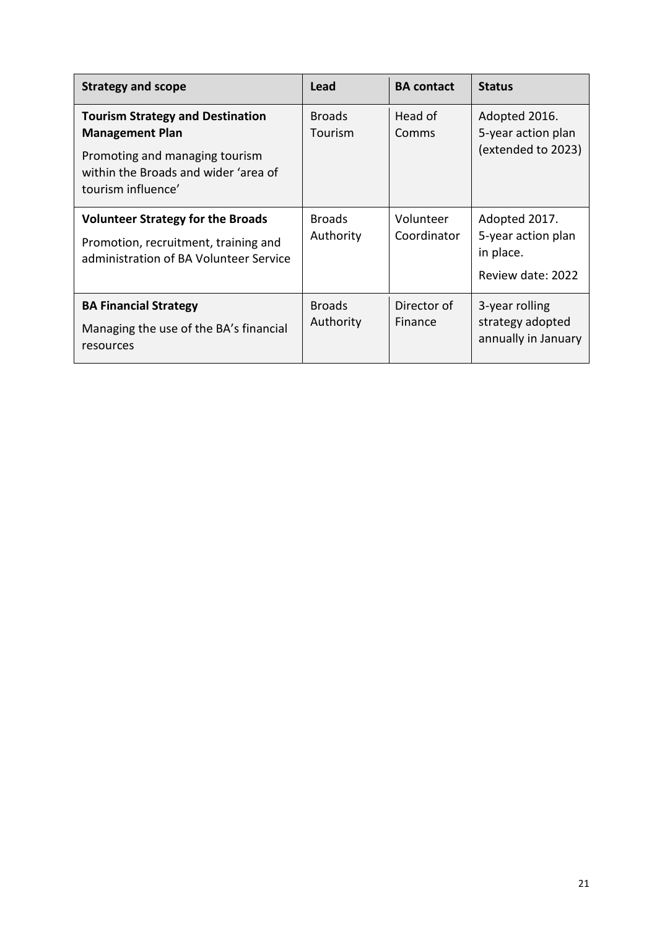| <b>Strategy and scope</b>                                                                                                  | Lead                       | <b>BA contact</b>        | <b>Status</b>                                                         |
|----------------------------------------------------------------------------------------------------------------------------|----------------------------|--------------------------|-----------------------------------------------------------------------|
| <b>Tourism Strategy and Destination</b><br><b>Management Plan</b>                                                          | <b>Broads</b><br>Tourism   | Head of<br>Comms         | Adopted 2016.<br>5-year action plan<br>(extended to 2023)             |
| Promoting and managing tourism<br>within the Broads and wider 'area of<br>tourism influence'                               |                            |                          |                                                                       |
| <b>Volunteer Strategy for the Broads</b><br>Promotion, recruitment, training and<br>administration of BA Volunteer Service | <b>Broads</b><br>Authority | Volunteer<br>Coordinator | Adopted 2017.<br>5-year action plan<br>in place.<br>Review date: 2022 |
| <b>BA Financial Strategy</b><br>Managing the use of the BA's financial<br>resources                                        | <b>Broads</b><br>Authority | Director of<br>Finance   | 3-year rolling<br>strategy adopted<br>annually in January             |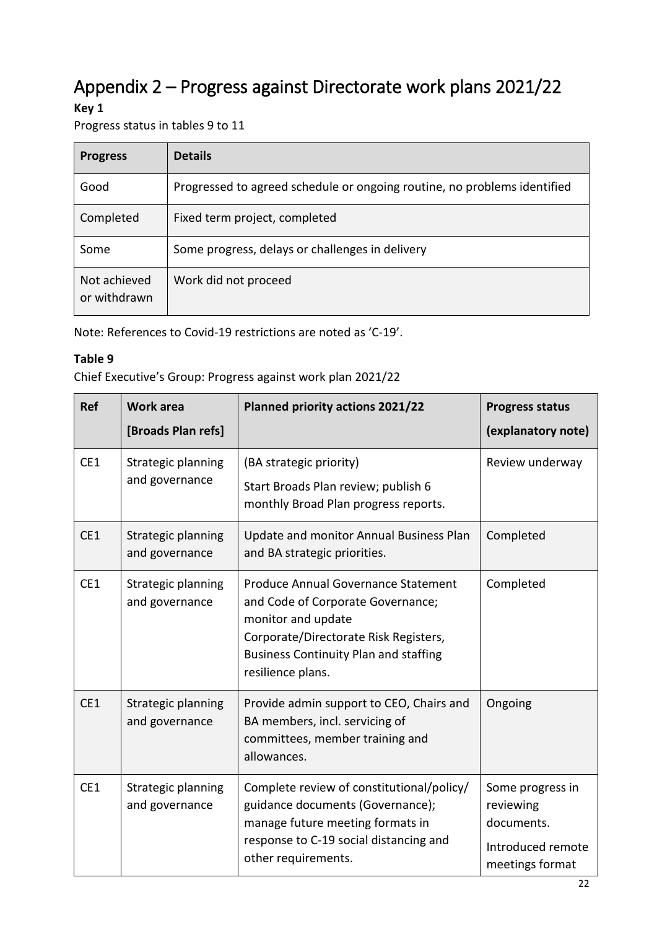# <span id="page-19-0"></span>Appendix 2 – Progress against Directorate work plans 2021/22

#### **Key 1**

Progress status in tables 9 to 11

| <b>Progress</b>              | <b>Details</b>                                                           |
|------------------------------|--------------------------------------------------------------------------|
| Good                         | Progressed to agreed schedule or ongoing routine, no problems identified |
| Completed                    | Fixed term project, completed                                            |
| Some                         | Some progress, delays or challenges in delivery                          |
| Not achieved<br>or withdrawn | Work did not proceed                                                     |

Note: References to Covid-19 restrictions are noted as 'C-19'.

#### **Table 9**

Chief Executive's Group: Progress against work plan 2021/22

| <b>Ref</b> | <b>Work area</b><br>[Broads Plan refs] | <b>Planned priority actions 2021/22</b>                                                                                                                                                                      | <b>Progress status</b><br>(explanatory note)                                        |
|------------|----------------------------------------|--------------------------------------------------------------------------------------------------------------------------------------------------------------------------------------------------------------|-------------------------------------------------------------------------------------|
| CE1        | Strategic planning<br>and governance   | (BA strategic priority)<br>Start Broads Plan review; publish 6<br>monthly Broad Plan progress reports.                                                                                                       | Review underway                                                                     |
| CE1        | Strategic planning<br>and governance   | Update and monitor Annual Business Plan<br>and BA strategic priorities.                                                                                                                                      | Completed                                                                           |
| CE1        | Strategic planning<br>and governance   | Produce Annual Governance Statement<br>and Code of Corporate Governance;<br>monitor and update<br>Corporate/Directorate Risk Registers,<br><b>Business Continuity Plan and staffing</b><br>resilience plans. | Completed                                                                           |
| CE1        | Strategic planning<br>and governance   | Provide admin support to CEO, Chairs and<br>BA members, incl. servicing of<br>committees, member training and<br>allowances.                                                                                 | Ongoing                                                                             |
| CE1        | Strategic planning<br>and governance   | Complete review of constitutional/policy/<br>guidance documents (Governance);<br>manage future meeting formats in<br>response to C-19 social distancing and<br>other requirements.                           | Some progress in<br>reviewing<br>documents.<br>Introduced remote<br>meetings format |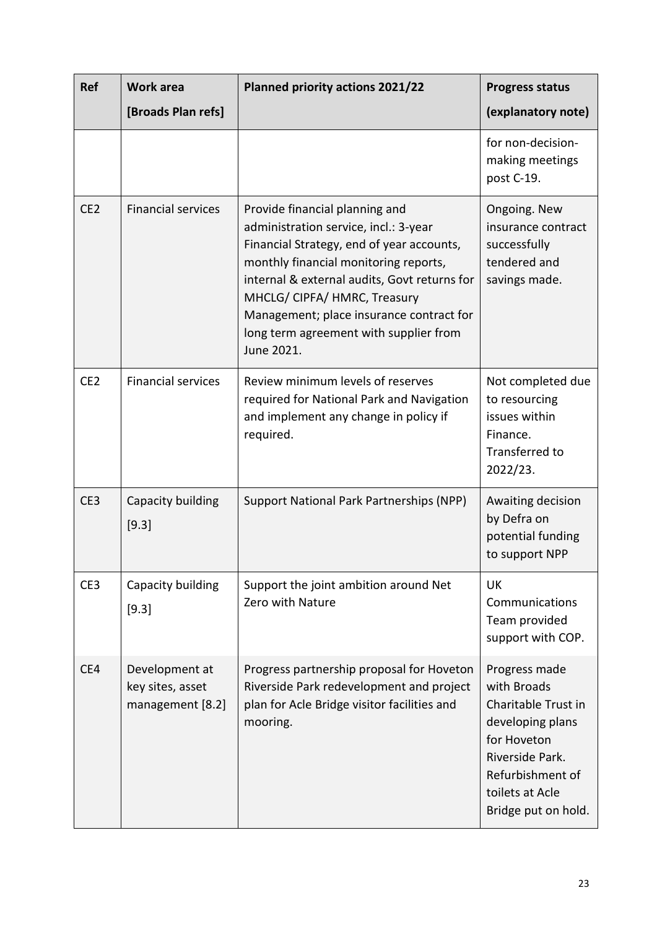| <b>Ref</b>      | Work area                                              | <b>Planned priority actions 2021/22</b>                                                                                                                                                                                                                                                                                                           | <b>Progress status</b>                                                                                                                                                  |
|-----------------|--------------------------------------------------------|---------------------------------------------------------------------------------------------------------------------------------------------------------------------------------------------------------------------------------------------------------------------------------------------------------------------------------------------------|-------------------------------------------------------------------------------------------------------------------------------------------------------------------------|
|                 | [Broads Plan refs]                                     |                                                                                                                                                                                                                                                                                                                                                   | (explanatory note)                                                                                                                                                      |
|                 |                                                        |                                                                                                                                                                                                                                                                                                                                                   | for non-decision-<br>making meetings<br>post C-19.                                                                                                                      |
| CE <sub>2</sub> | <b>Financial services</b>                              | Provide financial planning and<br>administration service, incl.: 3-year<br>Financial Strategy, end of year accounts,<br>monthly financial monitoring reports,<br>internal & external audits, Govt returns for<br>MHCLG/ CIPFA/ HMRC, Treasury<br>Management; place insurance contract for<br>long term agreement with supplier from<br>June 2021. | Ongoing. New<br>insurance contract<br>successfully<br>tendered and<br>savings made.                                                                                     |
| CE <sub>2</sub> | <b>Financial services</b>                              | Review minimum levels of reserves<br>required for National Park and Navigation<br>and implement any change in policy if<br>required.                                                                                                                                                                                                              | Not completed due<br>to resourcing<br>issues within<br>Finance.<br>Transferred to<br>2022/23.                                                                           |
| CE3             | Capacity building<br>[9.3]                             | Support National Park Partnerships (NPP)                                                                                                                                                                                                                                                                                                          | Awaiting decision<br>by Defra on<br>potential funding<br>to support NPP                                                                                                 |
| CE3             | Capacity building<br>[9.3]                             | Support the joint ambition around Net<br>Zero with Nature                                                                                                                                                                                                                                                                                         | UK<br>Communications<br>Team provided<br>support with COP.                                                                                                              |
| CE4             | Development at<br>key sites, asset<br>management [8.2] | Progress partnership proposal for Hoveton<br>Riverside Park redevelopment and project<br>plan for Acle Bridge visitor facilities and<br>mooring.                                                                                                                                                                                                  | Progress made<br>with Broads<br>Charitable Trust in<br>developing plans<br>for Hoveton<br>Riverside Park.<br>Refurbishment of<br>toilets at Acle<br>Bridge put on hold. |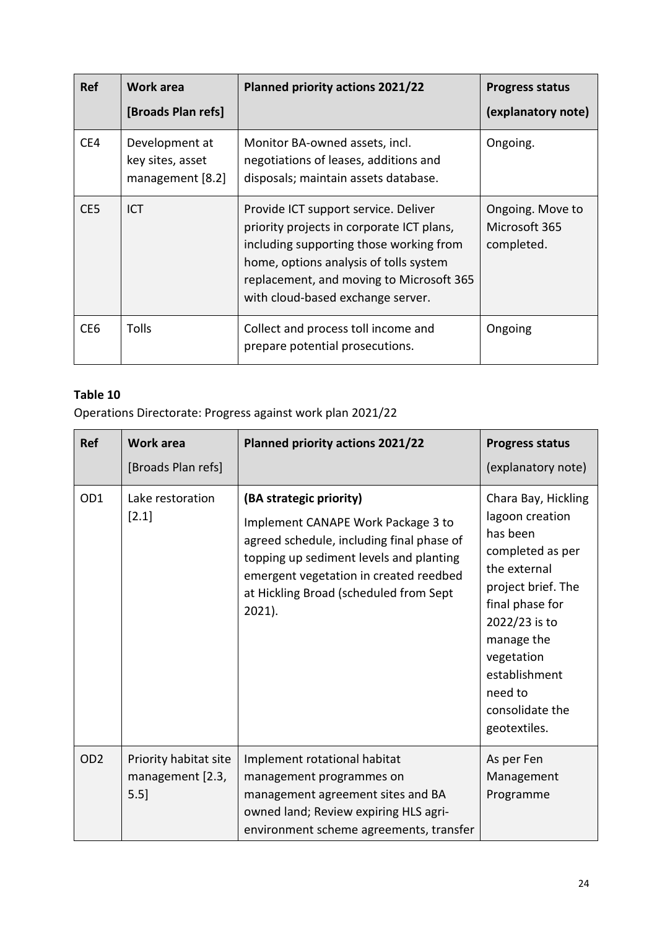| <b>Ref</b>      | Work area                                                | <b>Planned priority actions 2021/22</b>                                                                                                                                                                                                                 | <b>Progress status</b>                          |
|-----------------|----------------------------------------------------------|---------------------------------------------------------------------------------------------------------------------------------------------------------------------------------------------------------------------------------------------------------|-------------------------------------------------|
|                 | [Broads Plan refs]                                       |                                                                                                                                                                                                                                                         | (explanatory note)                              |
| CE4             | Development at<br>key sites, asset<br>management $[8.2]$ | Monitor BA-owned assets, incl.<br>negotiations of leases, additions and<br>disposals; maintain assets database.                                                                                                                                         | Ongoing.                                        |
| CE <sub>5</sub> | ICT                                                      | Provide ICT support service. Deliver<br>priority projects in corporate ICT plans,<br>including supporting those working from<br>home, options analysis of tolls system<br>replacement, and moving to Microsoft 365<br>with cloud-based exchange server. | Ongoing. Move to<br>Microsoft 365<br>completed. |
| CE <sub>6</sub> | <b>Tolls</b>                                             | Collect and process toll income and<br>prepare potential prosecutions.                                                                                                                                                                                  | Ongoing                                         |

Operations Directorate: Progress against work plan 2021/22

| Ref             | <b>Work area</b><br>[Broads Plan refs]            | <b>Planned priority actions 2021/22</b>                                                                                                                                                                                                                | <b>Progress status</b><br>(explanatory note)                                                                                                                                                                                                |
|-----------------|---------------------------------------------------|--------------------------------------------------------------------------------------------------------------------------------------------------------------------------------------------------------------------------------------------------------|---------------------------------------------------------------------------------------------------------------------------------------------------------------------------------------------------------------------------------------------|
| OD1             | Lake restoration<br>$[2.1]$                       | (BA strategic priority)<br>Implement CANAPE Work Package 3 to<br>agreed schedule, including final phase of<br>topping up sediment levels and planting<br>emergent vegetation in created reedbed<br>at Hickling Broad (scheduled from Sept<br>$2021$ ). | Chara Bay, Hickling<br>lagoon creation<br>has been<br>completed as per<br>the external<br>project brief. The<br>final phase for<br>2022/23 is to<br>manage the<br>vegetation<br>establishment<br>need to<br>consolidate the<br>geotextiles. |
| OD <sub>2</sub> | Priority habitat site<br>management [2.3,<br>5.5] | Implement rotational habitat<br>management programmes on<br>management agreement sites and BA<br>owned land; Review expiring HLS agri-<br>environment scheme agreements, transfer                                                                      | As per Fen<br>Management<br>Programme                                                                                                                                                                                                       |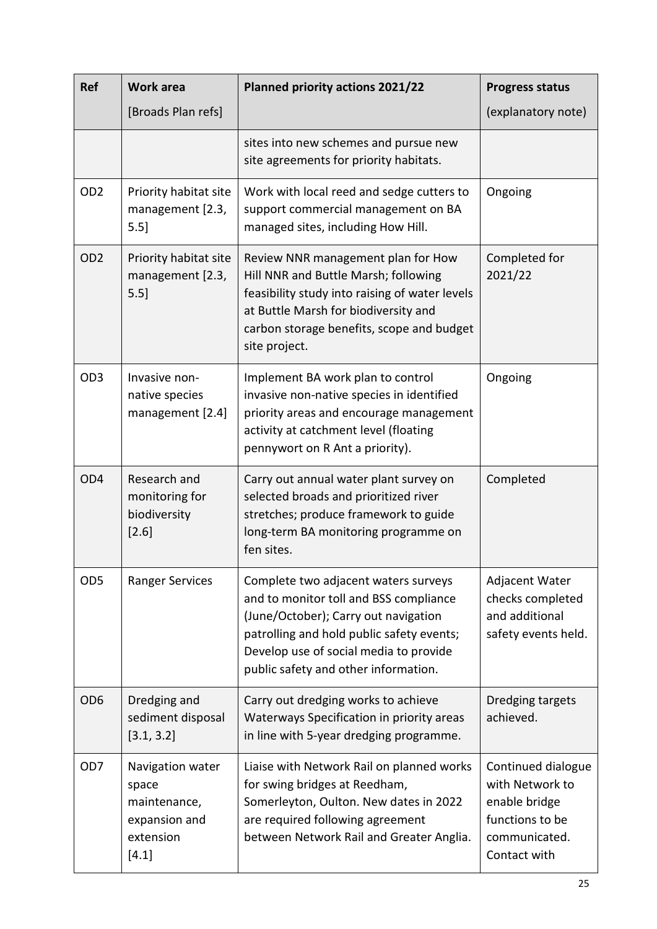| <b>Ref</b>      | <b>Work area</b>                                                                   | <b>Planned priority actions 2021/22</b>                                                                                                                                                                                                               | <b>Progress status</b>                                                                                     |
|-----------------|------------------------------------------------------------------------------------|-------------------------------------------------------------------------------------------------------------------------------------------------------------------------------------------------------------------------------------------------------|------------------------------------------------------------------------------------------------------------|
|                 | [Broads Plan refs]                                                                 |                                                                                                                                                                                                                                                       | (explanatory note)                                                                                         |
|                 |                                                                                    | sites into new schemes and pursue new<br>site agreements for priority habitats.                                                                                                                                                                       |                                                                                                            |
| OD <sub>2</sub> | Priority habitat site<br>management [2.3,<br>$5.5$ ]                               | Work with local reed and sedge cutters to<br>support commercial management on BA<br>managed sites, including How Hill.                                                                                                                                | Ongoing                                                                                                    |
| OD <sub>2</sub> | Priority habitat site<br>management [2.3,<br>5.5]                                  | Review NNR management plan for How<br>Hill NNR and Buttle Marsh; following<br>feasibility study into raising of water levels<br>at Buttle Marsh for biodiversity and<br>carbon storage benefits, scope and budget<br>site project.                    | Completed for<br>2021/22                                                                                   |
| OD <sub>3</sub> | Invasive non-<br>native species<br>management [2.4]                                | Implement BA work plan to control<br>invasive non-native species in identified<br>priority areas and encourage management<br>activity at catchment level (floating<br>pennywort on R Ant a priority).                                                 | Ongoing                                                                                                    |
| OD <sub>4</sub> | Research and<br>monitoring for<br>biodiversity<br>[2.6]                            | Carry out annual water plant survey on<br>selected broads and prioritized river<br>stretches; produce framework to guide<br>long-term BA monitoring programme on<br>fen sites.                                                                        | Completed                                                                                                  |
| OD <sub>5</sub> | <b>Ranger Services</b>                                                             | Complete two adjacent waters surveys<br>and to monitor toll and BSS compliance<br>(June/October); Carry out navigation<br>patrolling and hold public safety events;<br>Develop use of social media to provide<br>public safety and other information. | Adjacent Water<br>checks completed<br>and additional<br>safety events held.                                |
| OD <sub>6</sub> | Dredging and<br>sediment disposal<br>[3.1, 3.2]                                    | Carry out dredging works to achieve<br>Waterways Specification in priority areas<br>in line with 5-year dredging programme.                                                                                                                           | Dredging targets<br>achieved.                                                                              |
| OD <sub>7</sub> | Navigation water<br>space<br>maintenance,<br>expansion and<br>extension<br>$[4.1]$ | Liaise with Network Rail on planned works<br>for swing bridges at Reedham,<br>Somerleyton, Oulton. New dates in 2022<br>are required following agreement<br>between Network Rail and Greater Anglia.                                                  | Continued dialogue<br>with Network to<br>enable bridge<br>functions to be<br>communicated.<br>Contact with |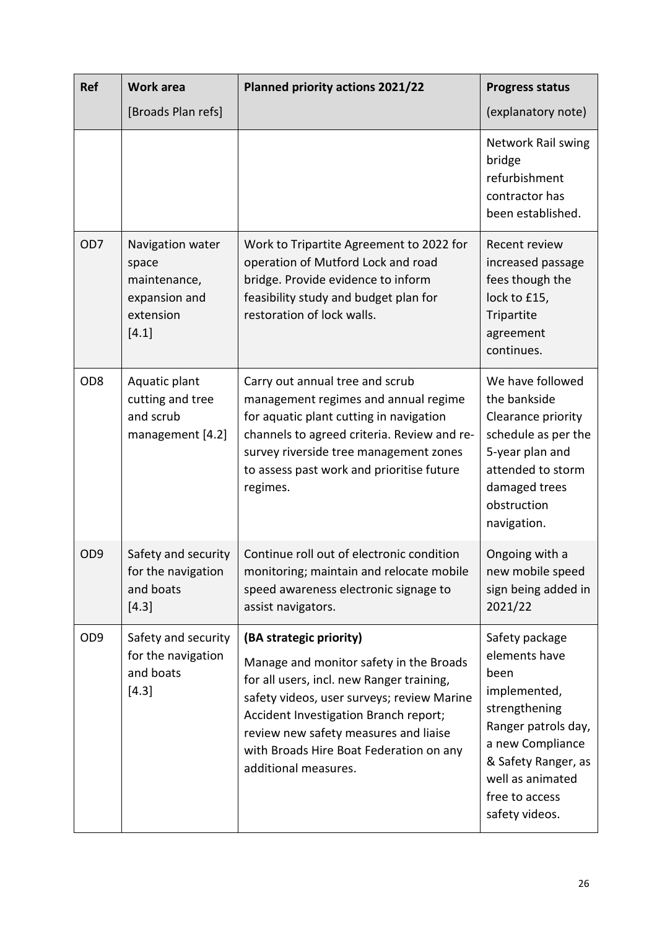| <b>Ref</b>      | <b>Work area</b>                                                                   | <b>Planned priority actions 2021/22</b>                                                                                                                                                                                                                                                                            | <b>Progress status</b>                                                                                                                                                                             |
|-----------------|------------------------------------------------------------------------------------|--------------------------------------------------------------------------------------------------------------------------------------------------------------------------------------------------------------------------------------------------------------------------------------------------------------------|----------------------------------------------------------------------------------------------------------------------------------------------------------------------------------------------------|
|                 | [Broads Plan refs]                                                                 |                                                                                                                                                                                                                                                                                                                    | (explanatory note)                                                                                                                                                                                 |
|                 |                                                                                    |                                                                                                                                                                                                                                                                                                                    | Network Rail swing<br>bridge<br>refurbishment<br>contractor has<br>been established.                                                                                                               |
| OD <sub>7</sub> | Navigation water<br>space<br>maintenance,<br>expansion and<br>extension<br>$[4.1]$ | Work to Tripartite Agreement to 2022 for<br>operation of Mutford Lock and road<br>bridge. Provide evidence to inform<br>feasibility study and budget plan for<br>restoration of lock walls.                                                                                                                        | Recent review<br>increased passage<br>fees though the<br>lock to £15,<br>Tripartite<br>agreement<br>continues.                                                                                     |
| OD <sub>8</sub> | Aquatic plant<br>cutting and tree<br>and scrub<br>management [4.2]                 | Carry out annual tree and scrub<br>management regimes and annual regime<br>for aquatic plant cutting in navigation<br>channels to agreed criteria. Review and re-<br>survey riverside tree management zones<br>to assess past work and prioritise future<br>regimes.                                               | We have followed<br>the bankside<br>Clearance priority<br>schedule as per the<br>5-year plan and<br>attended to storm<br>damaged trees<br>obstruction<br>navigation.                               |
| OD <sub>9</sub> | Safety and security<br>for the navigation<br>and boats<br>[4.3]                    | Continue roll out of electronic condition<br>monitoring; maintain and relocate mobile<br>speed awareness electronic signage to<br>assist navigators.                                                                                                                                                               | Ongoing with a<br>new mobile speed<br>sign being added in<br>2021/22                                                                                                                               |
| OD <sub>9</sub> | Safety and security<br>for the navigation<br>and boats<br>$[4.3]$                  | (BA strategic priority)<br>Manage and monitor safety in the Broads<br>for all users, incl. new Ranger training,<br>safety videos, user surveys; review Marine<br>Accident Investigation Branch report;<br>review new safety measures and liaise<br>with Broads Hire Boat Federation on any<br>additional measures. | Safety package<br>elements have<br>been<br>implemented,<br>strengthening<br>Ranger patrols day,<br>a new Compliance<br>& Safety Ranger, as<br>well as animated<br>free to access<br>safety videos. |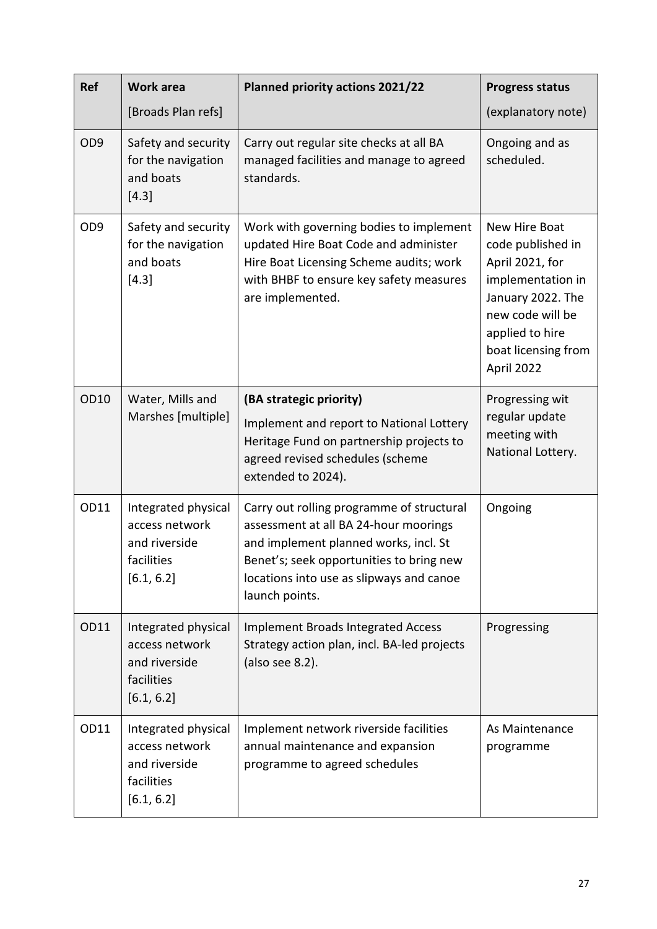| <b>Ref</b>      | <b>Work area</b>                                                                   | <b>Planned priority actions 2021/22</b>                                                                                                                                                                                               | <b>Progress status</b>                                                                                                                                                      |
|-----------------|------------------------------------------------------------------------------------|---------------------------------------------------------------------------------------------------------------------------------------------------------------------------------------------------------------------------------------|-----------------------------------------------------------------------------------------------------------------------------------------------------------------------------|
|                 | [Broads Plan refs]                                                                 |                                                                                                                                                                                                                                       | (explanatory note)                                                                                                                                                          |
| OD <sub>9</sub> | Safety and security<br>for the navigation<br>and boats<br>[4.3]                    | Carry out regular site checks at all BA<br>managed facilities and manage to agreed<br>standards.                                                                                                                                      | Ongoing and as<br>scheduled.                                                                                                                                                |
| OD <sub>9</sub> | Safety and security<br>for the navigation<br>and boats<br>[4.3]                    | Work with governing bodies to implement<br>updated Hire Boat Code and administer<br>Hire Boat Licensing Scheme audits; work<br>with BHBF to ensure key safety measures<br>are implemented.                                            | New Hire Boat<br>code published in<br>April 2021, for<br>implementation in<br>January 2022. The<br>new code will be<br>applied to hire<br>boat licensing from<br>April 2022 |
| OD10            | Water, Mills and<br>Marshes [multiple]                                             | (BA strategic priority)<br>Implement and report to National Lottery<br>Heritage Fund on partnership projects to<br>agreed revised schedules (scheme<br>extended to 2024).                                                             | Progressing wit<br>regular update<br>meeting with<br>National Lottery.                                                                                                      |
| OD11            | Integrated physical<br>access network<br>and riverside<br>facilities<br>[6.1, 6.2] | Carry out rolling programme of structural<br>assessment at all BA 24-hour moorings<br>and implement planned works, incl. St<br>Benet's; seek opportunities to bring new<br>locations into use as slipways and canoe<br>launch points. | Ongoing                                                                                                                                                                     |
| OD11            | Integrated physical<br>access network<br>and riverside<br>facilities<br>[6.1, 6.2] | <b>Implement Broads Integrated Access</b><br>Strategy action plan, incl. BA-led projects<br>(also see 8.2).                                                                                                                           | Progressing                                                                                                                                                                 |
| OD11            | Integrated physical<br>access network<br>and riverside<br>facilities<br>[6.1, 6.2] | Implement network riverside facilities<br>annual maintenance and expansion<br>programme to agreed schedules                                                                                                                           | As Maintenance<br>programme                                                                                                                                                 |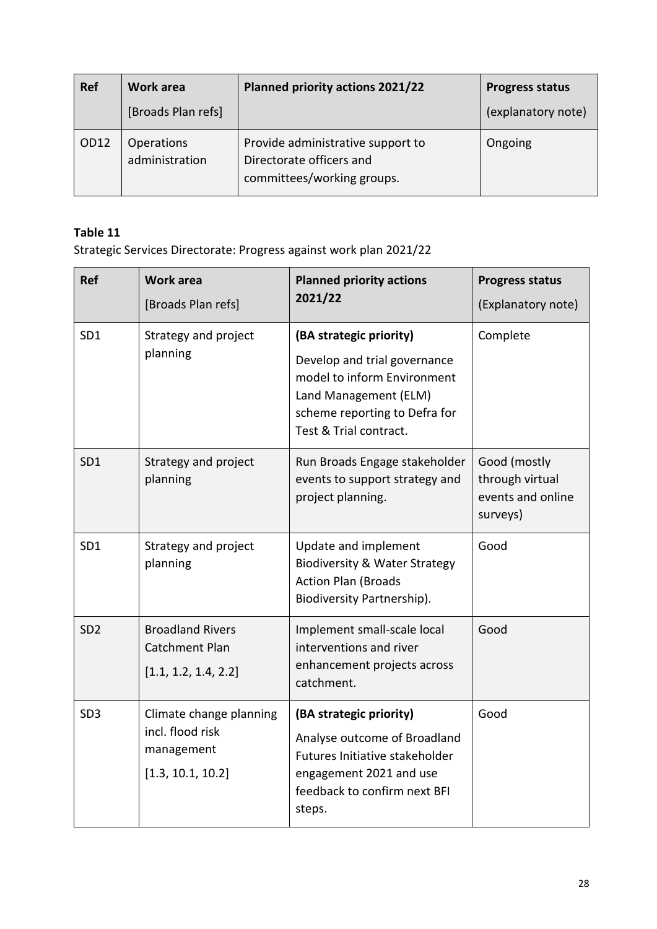| <b>Ref</b> | Work area                           | Planned priority actions 2021/22                                                            | <b>Progress status</b> |
|------------|-------------------------------------|---------------------------------------------------------------------------------------------|------------------------|
|            | [Broads Plan refs]                  |                                                                                             | (explanatory note)     |
| OD12       | <b>Operations</b><br>administration | Provide administrative support to<br>Directorate officers and<br>committees/working groups. | Ongoing                |

Strategic Services Directorate: Progress against work plan 2021/22

| <b>Ref</b>      | <b>Work area</b><br>[Broads Plan refs]                                         | <b>Planned priority actions</b><br>2021/22                                                                                                                                 | <b>Progress status</b><br>(Explanatory note)                     |
|-----------------|--------------------------------------------------------------------------------|----------------------------------------------------------------------------------------------------------------------------------------------------------------------------|------------------------------------------------------------------|
| SD1             | Strategy and project<br>planning                                               | (BA strategic priority)<br>Develop and trial governance<br>model to inform Environment<br>Land Management (ELM)<br>scheme reporting to Defra for<br>Test & Trial contract. | Complete                                                         |
| SD <sub>1</sub> | Strategy and project<br>planning                                               | Run Broads Engage stakeholder<br>events to support strategy and<br>project planning.                                                                                       | Good (mostly<br>through virtual<br>events and online<br>surveys) |
| SD <sub>1</sub> | Strategy and project<br>planning                                               | Update and implement<br><b>Biodiversity &amp; Water Strategy</b><br><b>Action Plan (Broads</b><br>Biodiversity Partnership).                                               | Good                                                             |
| SD <sub>2</sub> | <b>Broadland Rivers</b><br><b>Catchment Plan</b><br>[1.1, 1.2, 1.4, 2.2]       | Implement small-scale local<br>interventions and river<br>enhancement projects across<br>catchment.                                                                        | Good                                                             |
| SD <sub>3</sub> | Climate change planning<br>incl. flood risk<br>management<br>[1.3, 10.1, 10.2] | (BA strategic priority)<br>Analyse outcome of Broadland<br>Futures Initiative stakeholder<br>engagement 2021 and use<br>feedback to confirm next BFI<br>steps.             | Good                                                             |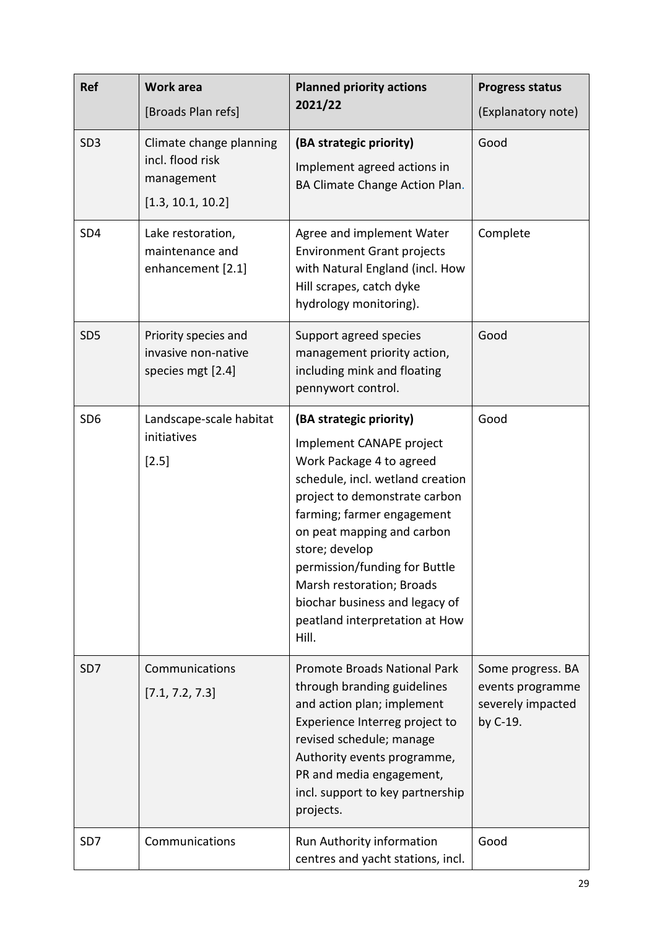| <b>Ref</b>      | <b>Work area</b><br>[Broads Plan refs]                                         | <b>Planned priority actions</b><br>2021/22                                                                                                                                                                                                                                                                                                                                    | <b>Progress status</b><br>(Explanatory note)                           |
|-----------------|--------------------------------------------------------------------------------|-------------------------------------------------------------------------------------------------------------------------------------------------------------------------------------------------------------------------------------------------------------------------------------------------------------------------------------------------------------------------------|------------------------------------------------------------------------|
| SD <sub>3</sub> | Climate change planning<br>incl. flood risk<br>management<br>[1.3, 10.1, 10.2] | (BA strategic priority)<br>Implement agreed actions in<br>BA Climate Change Action Plan.                                                                                                                                                                                                                                                                                      | Good                                                                   |
| SD4             | Lake restoration,<br>maintenance and<br>enhancement [2.1]                      | Agree and implement Water<br><b>Environment Grant projects</b><br>with Natural England (incl. How<br>Hill scrapes, catch dyke<br>hydrology monitoring).                                                                                                                                                                                                                       | Complete                                                               |
| SD <sub>5</sub> | Priority species and<br>invasive non-native<br>species mgt [2.4]               | Support agreed species<br>management priority action,<br>including mink and floating<br>pennywort control.                                                                                                                                                                                                                                                                    | Good                                                                   |
| SD <sub>6</sub> | Landscape-scale habitat<br>initiatives<br>$[2.5]$                              | (BA strategic priority)<br>Implement CANAPE project<br>Work Package 4 to agreed<br>schedule, incl. wetland creation<br>project to demonstrate carbon<br>farming; farmer engagement<br>on peat mapping and carbon<br>store; develop<br>permission/funding for Buttle<br>Marsh restoration; Broads<br>biochar business and legacy of<br>peatland interpretation at How<br>Hill. | Good                                                                   |
| SD <sub>7</sub> | Communications<br>[7.1, 7.2, 7.3]                                              | <b>Promote Broads National Park</b><br>through branding guidelines<br>and action plan; implement<br>Experience Interreg project to<br>revised schedule; manage<br>Authority events programme,<br>PR and media engagement,<br>incl. support to key partnership<br>projects.                                                                                                    | Some progress. BA<br>events programme<br>severely impacted<br>by C-19. |
| SD <sub>7</sub> | Communications                                                                 | Run Authority information<br>centres and yacht stations, incl.                                                                                                                                                                                                                                                                                                                | Good                                                                   |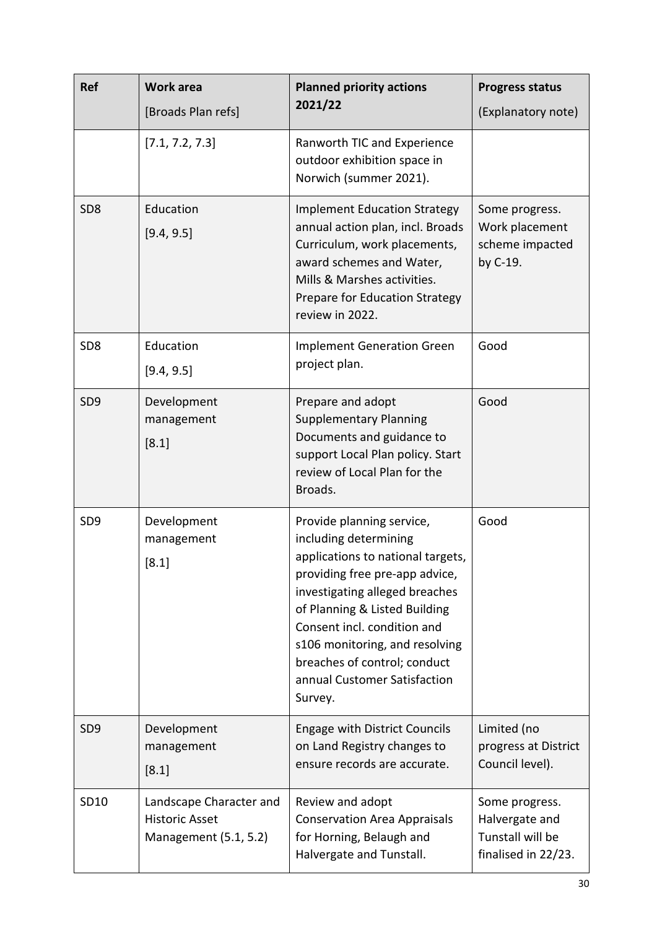| Ref             | <b>Work area</b><br>[Broads Plan refs]                                    | <b>Planned priority actions</b><br>2021/22                                                                                                                                                                                                                                                                                               | <b>Progress status</b><br>(Explanatory note)                                |
|-----------------|---------------------------------------------------------------------------|------------------------------------------------------------------------------------------------------------------------------------------------------------------------------------------------------------------------------------------------------------------------------------------------------------------------------------------|-----------------------------------------------------------------------------|
|                 | [7.1, 7.2, 7.3]                                                           | Ranworth TIC and Experience<br>outdoor exhibition space in<br>Norwich (summer 2021).                                                                                                                                                                                                                                                     |                                                                             |
| SD <sub>8</sub> | Education<br>[9.4, 9.5]                                                   | <b>Implement Education Strategy</b><br>annual action plan, incl. Broads<br>Curriculum, work placements,<br>award schemes and Water,<br>Mills & Marshes activities.<br>Prepare for Education Strategy<br>review in 2022.                                                                                                                  | Some progress.<br>Work placement<br>scheme impacted<br>by C-19.             |
| SD <sub>8</sub> | Education<br>[9.4, 9.5]                                                   | <b>Implement Generation Green</b><br>project plan.                                                                                                                                                                                                                                                                                       | Good                                                                        |
| SD <sub>9</sub> | Development<br>management<br>[8.1]                                        | Prepare and adopt<br><b>Supplementary Planning</b><br>Documents and guidance to<br>support Local Plan policy. Start<br>review of Local Plan for the<br>Broads.                                                                                                                                                                           | Good                                                                        |
| SD <sub>9</sub> | Development<br>management<br>[8.1]                                        | Provide planning service,<br>including determining<br>applications to national targets,<br>providing free pre-app advice,<br>investigating alleged breaches<br>of Planning & Listed Building<br>Consent incl. condition and<br>s106 monitoring, and resolving<br>breaches of control; conduct<br>annual Customer Satisfaction<br>Survey. | Good                                                                        |
| SD <sub>9</sub> | Development<br>management<br>[8.1]                                        | <b>Engage with District Councils</b><br>on Land Registry changes to<br>ensure records are accurate.                                                                                                                                                                                                                                      | Limited (no<br>progress at District<br>Council level).                      |
| SD10            | Landscape Character and<br><b>Historic Asset</b><br>Management (5.1, 5.2) | Review and adopt<br><b>Conservation Area Appraisals</b><br>for Horning, Belaugh and<br>Halvergate and Tunstall.                                                                                                                                                                                                                          | Some progress.<br>Halvergate and<br>Tunstall will be<br>finalised in 22/23. |